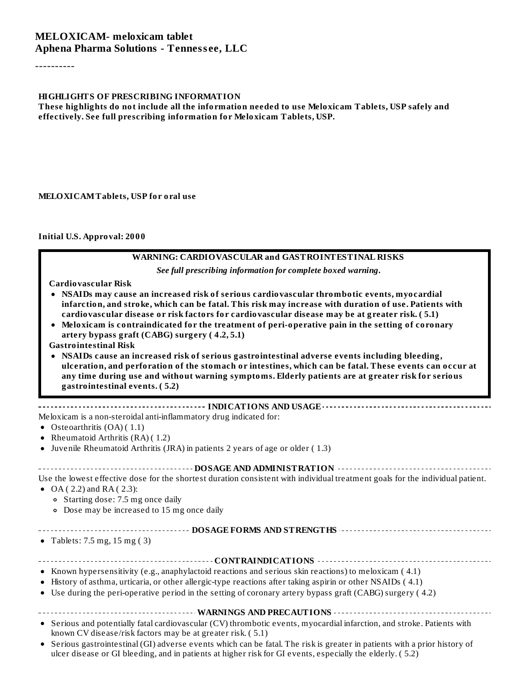#### **MELOXICAM- meloxicam tablet Aphena Pharma Solutions - Tenness ee, LLC**

----------

#### **HIGHLIGHTS OF PRESCRIBING INFORMATION**

**These highlights do not include all the information needed to use Meloxicam Tablets, USP safely and effectively. See full prescribing information for Meloxicam Tablets, USP.**

#### **MELOXICAMTablets, USP for oral use**

**Initial U.S. Approval: 2000**

#### **WARNING: CARDIOVASCULAR and GASTROINTESTINAL RISKS** *See full prescribing information for complete boxed warning***. Cardiovascular Risk NSAIDs may cause an increased risk of serious cardiovascular thrombotic events, myocardial infarction, and stroke, which can be fatal. This risk may increase with duration of use. Patients with cardiovascular disease or risk factors for cardiovascular disease may be at greater risk. ( 5.1) Meloxicam is contraindicated for the treatment of peri-operative pain in the setting of coronary artery bypass graft (CABG) surgery ( 4.2, 5.1) Gastrointestinal Risk NSAIDs cause an increased risk of serious gastrointestinal adverse events including bleeding, ulceration, and perforation of the stomach or intestines, which can be fatal. These events can occur at any time during use and without warning symptoms. Elderly patients are at greater risk for serious gastrointestinal events. ( 5.2) INDICATIONS AND USAGE** Meloxicam is a non-steroidal anti-inflammatory drug indicated for:

- Osteoarthritis  $(OA)$  (1.1)
- Rheumatoid Arthritis (RA) (1.2)
- Juvenile Rheumatoid Arthritis (JRA) in patients 2 years of age or older ( 1.3)

**DOSAGE AND ADMINISTRATION**

Use the lowest effective dose for the shortest duration consistent with individual treatment goals for the individual patient.

- $OA(2.2)$  and RA (2.3):
	- Starting dose: 7.5 mg once daily
	- Dose may be increased to 15 mg once daily

#### **DOSAGE FORMS AND STRENGTHS**

• Tablets:  $7.5 \text{ mg}, 15 \text{ mg}$  (3)

#### **CONTRAINDICATIONS**

- Known hypersensitivity (e.g., anaphylactoid reactions and serious skin reactions) to meloxicam (4.1)
- History of asthma, urticaria, or other allergic-type reactions after taking aspirin or other NSAIDs ( 4.1)
- Use during the peri-operative period in the setting of coronary artery bypass graft (CABG) surgery ( 4.2)

#### **WARNINGS AND PRECAUTIONS**

- Serious and potentially fatal cardiovascular (CV) thrombotic events, myocardial infarction, and stroke. Patients with known CV disease/risk factors may be at greater risk. ( 5.1)
- Serious gastrointestinal (GI) adverse events which can be fatal. The risk is greater in patients with a prior history of ulcer disease or GI bleeding, and in patients at higher risk for GI events, especially the elderly. ( 5.2)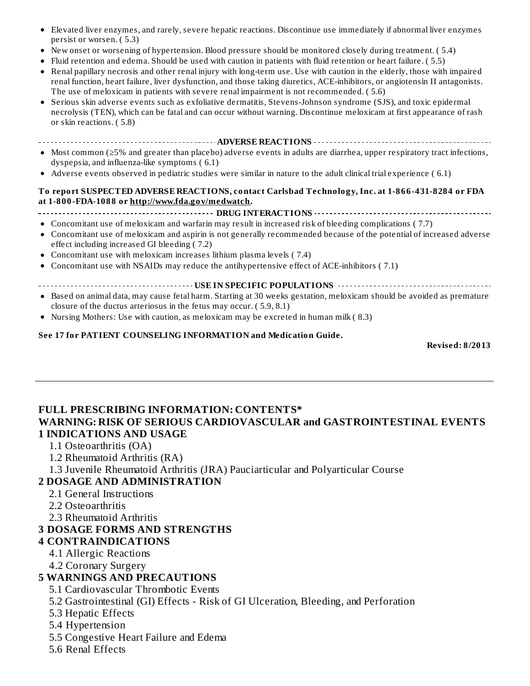- Elevated liver enzymes, and rarely, severe hepatic reactions. Discontinue use immediately if abnormal liver enzymes persist or worsen. ( 5.3)
- New onset or worsening of hypertension. Blood pressure should be monitored closely during treatment. (5.4)
- Fluid retention and edema. Should be used with caution in patients with fluid retention or heart failure. ( 5.5)
- Renal papillary necrosis and other renal injury with long-term use. Use with caution in the elderly, those with impaired renal function, heart failure, liver dysfunction, and those taking diuretics, ACE-inhibitors, or angiotensin II antagonists. The use of meloxicam in patients with severe renal impairment is not recommended. ( 5.6)
- Serious skin adverse events such as exfoliative dermatitis, Stevens-Johnson syndrome (SJS), and toxic epidermal necrolysis (TEN), which can be fatal and can occur without warning. Discontinue meloxicam at first appearance of rash or skin reactions. ( 5.8)
	- **ADVERSE REACTIONS**
- Most common (≥5% and greater than placebo) adverse events in adults are diarrhea, upper respiratory tract infections,  $\bullet$ dyspepsia, and influenza-like symptoms ( 6.1)
- Adverse events observed in pediatric studies were similar in nature to the adult clinical trial experience ( 6.1)  $\bullet$

#### **To report SUSPECTED ADVERSE REACTIONS, contact Carlsbad Technology, Inc. at 1-866-431-8284 or FDA at 1-800-FDA-1088 or http://www.fda.gov/medwatch.**

#### **DRUG INTERACTIONS**

- Concomitant use of meloxicam and warfarin may result in increased risk of bleeding complications ( 7.7)
- Concomitant use of meloxicam and aspirin is not generally recommended because of the potential of increased adverse effect including increased GI bleeding ( 7.2)
- Concomitant use with meloxicam increases lithium plasma levels ( 7.4)
- Concomitant use with NSAIDs may reduce the antihypertensive effect of ACE-inhibitors ( 7.1)

#### **USE IN SPECIFIC POPULATIONS**

- Based on animal data, may cause fetal harm. Starting at 30 weeks gestation, meloxicam should be avoided as premature closure of the ductus arteriosus in the fetus may occur. ( 5.9, 8.1)
- Nursing Mothers: Use with caution, as meloxicam may be excreted in human milk ( 8.3)

#### **See 17 for PATIENT COUNSELING INFORMATION and Medication Guide.**

**Revised: 8/2013**

#### **FULL PRESCRIBING INFORMATION: CONTENTS\***

#### **WARNING: RISK OF SERIOUS CARDIOVASCULAR and GASTROINTESTINAL EVENTS 1 INDICATIONS AND USAGE**

#### 1.1 Osteoarthritis (OA)

- 1.2 Rheumatoid Arthritis (RA)
- 1.3 Juvenile Rheumatoid Arthritis (JRA) Pauciarticular and Polyarticular Course

#### **2 DOSAGE AND ADMINISTRATION**

- 2.1 General Instructions
- 2.2 Osteoarthritis
- 2.3 Rheumatoid Arthritis

#### **3 DOSAGE FORMS AND STRENGTHS**

#### **4 CONTRAINDICATIONS**

- 4.1 Allergic Reactions
- 4.2 Coronary Surgery

#### **5 WARNINGS AND PRECAUTIONS**

- 5.1 Cardiovascular Thrombotic Events
- 5.2 Gastrointestinal (GI) Effects Risk of GI Ulceration, Bleeding, and Perforation
- 5.3 Hepatic Effects
- 5.4 Hypertension
- 5.5 Congestive Heart Failure and Edema
- 5.6 Renal Effects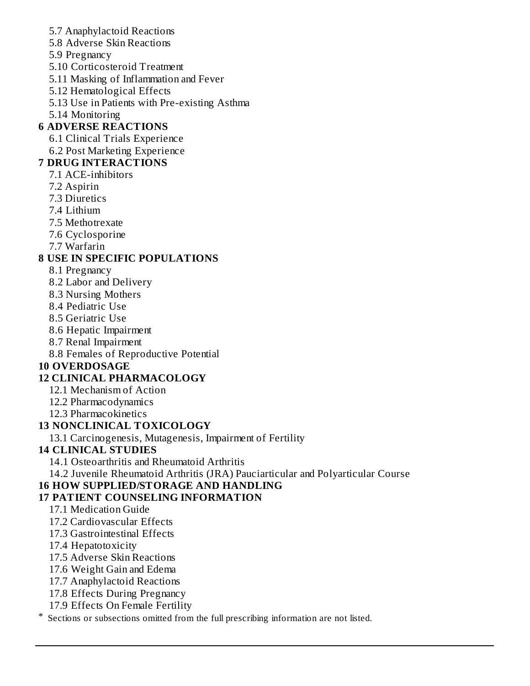- 5.7 Anaphylactoid Reactions
- 5.8 Adverse Skin Reactions
- 5.9 Pregnancy
- 5.10 Corticosteroid Treatment
- 5.11 Masking of Inflammation and Fever
- 5.12 Hematological Effects
- 5.13 Use in Patients with Pre-existing Asthma
- 5.14 Monitoring

## **6 ADVERSE REACTIONS**

- 6.1 Clinical Trials Experience
- 6.2 Post Marketing Experience

## **7 DRUG INTERACTIONS**

- 7.1 ACE-inhibitors
- 7.2 Aspirin
- 7.3 Diuretics
- 7.4 Lithium
- 7.5 Methotrexate
- 7.6 Cyclosporine
- 7.7 Warfarin

# **8 USE IN SPECIFIC POPULATIONS**

- 8.1 Pregnancy
- 8.2 Labor and Delivery
- 8.3 Nursing Mothers
- 8.4 Pediatric Use
- 8.5 Geriatric Use
- 8.6 Hepatic Impairment
- 8.7 Renal Impairment
- 8.8 Females of Reproductive Potential

# **10 OVERDOSAGE**

# **12 CLINICAL PHARMACOLOGY**

- 12.1 Mechanism of Action
- 12.2 Pharmacodynamics
- 12.3 Pharmacokinetics

## **13 NONCLINICAL TOXICOLOGY**

13.1 Carcinogenesis, Mutagenesis, Impairment of Fertility

# **14 CLINICAL STUDIES**

- 14.1 Osteoarthritis and Rheumatoid Arthritis
- 14.2 Juvenile Rheumatoid Arthritis (JRA) Pauciarticular and Polyarticular Course

# **16 HOW SUPPLIED/STORAGE AND HANDLING**

## **17 PATIENT COUNSELING INFORMATION**

- 17.1 Medication Guide
- 17.2 Cardiovascular Effects
- 17.3 Gastrointestinal Effects
- 17.4 Hepatotoxicity
- 17.5 Adverse Skin Reactions
- 17.6 Weight Gain and Edema
- 17.7 Anaphylactoid Reactions
- 17.8 Effects During Pregnancy
- 17.9 Effects On Female Fertility

#### Sections or subsections omitted from the full prescribing information are not listed.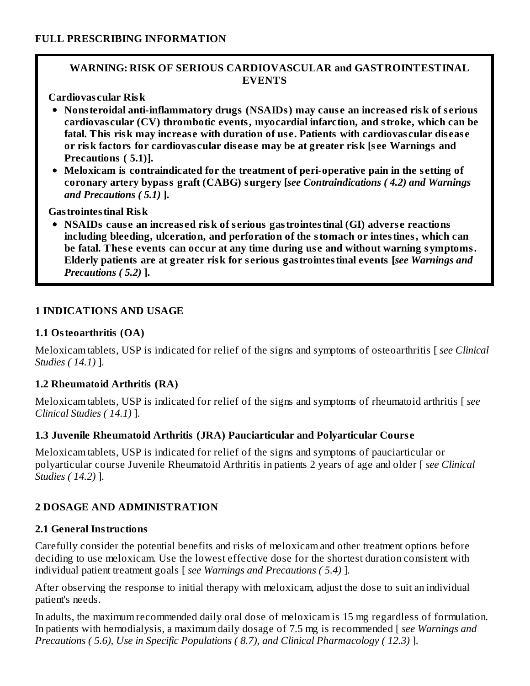#### **WARNING: RISK OF SERIOUS CARDIOVASCULAR and GASTROINTESTINAL EVENTS**

**Cardiovas cular Risk**

- **Nonsteroidal anti-inflammatory drugs (NSAIDs) may caus e an increas ed risk of s erious cardiovas cular (CV) thrombotic events, myocardial infarction, and stroke, which can be fatal. This risk may increas e with duration of us e. Patients with cardiovas cular dis eas e or risk factors for cardiovas cular dis eas e may be at greater risk [s ee Warnings and Precautions ( 5.1)].**
- **Meloxicam is contraindicated for the treatment of peri-operative pain in the s etting of coronary artery bypass graft (CABG) surgery [***see Contraindications ( 4.2) and Warnings and Precautions ( 5.1)* **].**

**Gastrointestinal Risk**

**NSAIDs caus e an increas ed risk of s erious gastrointestinal (GI) advers e reactions including bleeding, ulceration, and perforation of the stomach or intestines, which can be fatal. Thes e events can occur at any time during us e and without warning symptoms. Elderly patients are at greater risk for s erious gastrointestinal events [***see Warnings and Precautions ( 5.2)* **].**

#### **1 INDICATIONS AND USAGE**

#### **1.1 Osteoarthritis (OA)**

Meloxicam tablets, USP is indicated for relief of the signs and symptoms of osteoarthritis [ *see Clinical Studies ( 14.1)* ].

## **1.2 Rheumatoid Arthritis (RA)**

Meloxicam tablets, USP is indicated for relief of the signs and symptoms of rheumatoid arthritis [ *see Clinical Studies ( 14.1)* ].

## **1.3 Juvenile Rheumatoid Arthritis (JRA) Pauciarticular and Polyarticular Cours e**

Meloxicam tablets, USP is indicated for relief of the signs and symptoms of pauciarticular or polyarticular course Juvenile Rheumatoid Arthritis in patients 2 years of age and older [ *see Clinical Studies ( 14.2)* ].

# **2 DOSAGE AND ADMINISTRATION**

## **2.1 General Instructions**

Carefully consider the potential benefits and risks of meloxicam and other treatment options before deciding to use meloxicam. Use the lowest effective dose for the shortest duration consistent with individual patient treatment goals [ *see Warnings and Precautions ( 5.4)* ].

After observing the response to initial therapy with meloxicam, adjust the dose to suit an individual patient's needs.

In adults, the maximum recommended daily oral dose of meloxicam is 15 mg regardless of formulation. In patients with hemodialysis, a maximum daily dosage of 7.5 mg is recommended [ *see Warnings and Precautions ( 5.6), Use in Specific Populations ( 8.7), and Clinical Pharmacology ( 12.3)* ].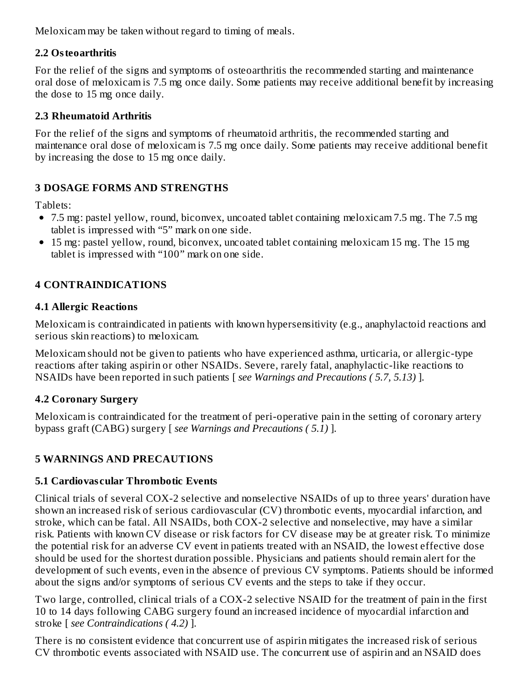Meloxicam may be taken without regard to timing of meals.

# **2.2 Osteoarthritis**

For the relief of the signs and symptoms of osteoarthritis the recommended starting and maintenance oral dose of meloxicam is 7.5 mg once daily. Some patients may receive additional benefit by increasing the dose to 15 mg once daily.

# **2.3 Rheumatoid Arthritis**

For the relief of the signs and symptoms of rheumatoid arthritis, the recommended starting and maintenance oral dose of meloxicam is 7.5 mg once daily. Some patients may receive additional benefit by increasing the dose to 15 mg once daily.

# **3 DOSAGE FORMS AND STRENGTHS**

Tablets:

- 7.5 mg: pastel yellow, round, biconvex, uncoated tablet containing meloxicam 7.5 mg. The 7.5 mg tablet is impressed with "5" mark on one side.
- 15 mg: pastel yellow, round, biconvex, uncoated tablet containing meloxicam 15 mg. The 15 mg tablet is impressed with "100" mark on one side.

# **4 CONTRAINDICATIONS**

# **4.1 Allergic Reactions**

Meloxicam is contraindicated in patients with known hypersensitivity (e.g., anaphylactoid reactions and serious skin reactions) to meloxicam.

Meloxicam should not be given to patients who have experienced asthma, urticaria, or allergic-type reactions after taking aspirin or other NSAIDs. Severe, rarely fatal, anaphylactic-like reactions to NSAIDs have been reported in such patients [ *see Warnings and Precautions ( 5.7, 5.13)* ].

# **4.2 Coronary Surgery**

Meloxicam is contraindicated for the treatment of peri-operative pain in the setting of coronary artery bypass graft (CABG) surgery [ *see Warnings and Precautions ( 5.1)* ].

# **5 WARNINGS AND PRECAUTIONS**

# **5.1 Cardiovas cular Thrombotic Events**

Clinical trials of several COX-2 selective and nonselective NSAIDs of up to three years' duration have shown an increased risk of serious cardiovascular (CV) thrombotic events, myocardial infarction, and stroke, which can be fatal. All NSAIDs, both COX-2 selective and nonselective, may have a similar risk. Patients with known CV disease or risk factors for CV disease may be at greater risk. To minimize the potential risk for an adverse CV event in patients treated with an NSAID, the lowest effective dose should be used for the shortest duration possible. Physicians and patients should remain alert for the development of such events, even in the absence of previous CV symptoms. Patients should be informed about the signs and/or symptoms of serious CV events and the steps to take if they occur.

Two large, controlled, clinical trials of a COX-2 selective NSAID for the treatment of pain in the first 10 to 14 days following CABG surgery found an increased incidence of myocardial infarction and stroke [ *see Contraindications ( 4.2)* ].

There is no consistent evidence that concurrent use of aspirin mitigates the increased risk of serious CV thrombotic events associated with NSAID use. The concurrent use of aspirin and an NSAID does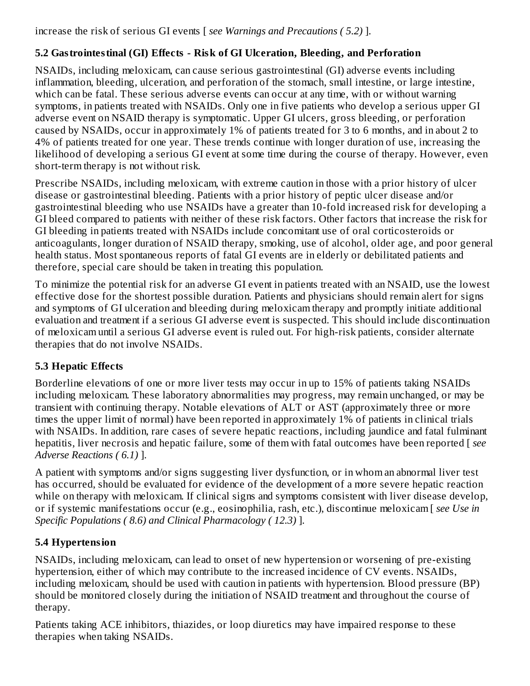increase the risk of serious GI events [ *see Warnings and Precautions ( 5.2)* ].

## **5.2 Gastrointestinal (GI) Effects - Risk of GI Ulceration, Bleeding, and Perforation**

NSAIDs, including meloxicam, can cause serious gastrointestinal (GI) adverse events including inflammation, bleeding, ulceration, and perforation of the stomach, small intestine, or large intestine, which can be fatal. These serious adverse events can occur at any time, with or without warning symptoms, in patients treated with NSAIDs. Only one in five patients who develop a serious upper GI adverse event on NSAID therapy is symptomatic. Upper GI ulcers, gross bleeding, or perforation caused by NSAIDs, occur in approximately 1% of patients treated for 3 to 6 months, and in about 2 to 4% of patients treated for one year. These trends continue with longer duration of use, increasing the likelihood of developing a serious GI event at some time during the course of therapy. However, even short-term therapy is not without risk.

Prescribe NSAIDs, including meloxicam, with extreme caution in those with a prior history of ulcer disease or gastrointestinal bleeding. Patients with a prior history of peptic ulcer disease and/or gastrointestinal bleeding who use NSAIDs have a greater than 10-fold increased risk for developing a GI bleed compared to patients with neither of these risk factors. Other factors that increase the risk for GI bleeding in patients treated with NSAIDs include concomitant use of oral corticosteroids or anticoagulants, longer duration of NSAID therapy, smoking, use of alcohol, older age, and poor general health status. Most spontaneous reports of fatal GI events are in elderly or debilitated patients and therefore, special care should be taken in treating this population.

To minimize the potential risk for an adverse GI event in patients treated with an NSAID, use the lowest effective dose for the shortest possible duration. Patients and physicians should remain alert for signs and symptoms of GI ulceration and bleeding during meloxicam therapy and promptly initiate additional evaluation and treatment if a serious GI adverse event is suspected. This should include discontinuation of meloxicam until a serious GI adverse event is ruled out. For high-risk patients, consider alternate therapies that do not involve NSAIDs.

## **5.3 Hepatic Effects**

Borderline elevations of one or more liver tests may occur in up to 15% of patients taking NSAIDs including meloxicam. These laboratory abnormalities may progress, may remain unchanged, or may be transient with continuing therapy. Notable elevations of ALT or AST (approximately three or more times the upper limit of normal) have been reported in approximately 1% of patients in clinical trials with NSAIDs. In addition, rare cases of severe hepatic reactions, including jaundice and fatal fulminant hepatitis, liver necrosis and hepatic failure, some of them with fatal outcomes have been reported [ *see Adverse Reactions ( 6.1)* ].

A patient with symptoms and/or signs suggesting liver dysfunction, or in whom an abnormal liver test has occurred, should be evaluated for evidence of the development of a more severe hepatic reaction while on therapy with meloxicam. If clinical signs and symptoms consistent with liver disease develop, or if systemic manifestations occur (e.g., eosinophilia, rash, etc.), discontinue meloxicam [ *see Use in Specific Populations ( 8.6) and Clinical Pharmacology ( 12.3)* ].

#### **5.4 Hypertension**

NSAIDs, including meloxicam, can lead to onset of new hypertension or worsening of pre-existing hypertension, either of which may contribute to the increased incidence of CV events. NSAIDs, including meloxicam, should be used with caution in patients with hypertension. Blood pressure (BP) should be monitored closely during the initiation of NSAID treatment and throughout the course of therapy.

Patients taking ACE inhibitors, thiazides, or loop diuretics may have impaired response to these therapies when taking NSAIDs.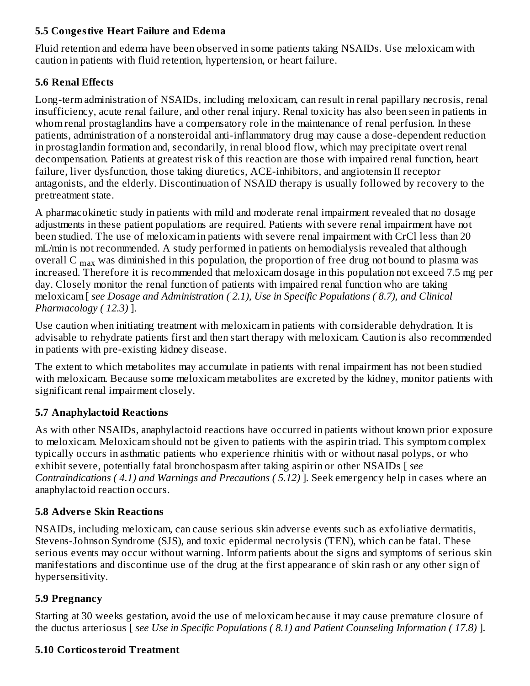#### **5.5 Congestive Heart Failure and Edema**

Fluid retention and edema have been observed in some patients taking NSAIDs. Use meloxicam with caution in patients with fluid retention, hypertension, or heart failure.

#### **5.6 Renal Effects**

Long-term administration of NSAIDs, including meloxicam, can result in renal papillary necrosis, renal insufficiency, acute renal failure, and other renal injury. Renal toxicity has also been seen in patients in whom renal prostaglandins have a compensatory role in the maintenance of renal perfusion. In these patients, administration of a nonsteroidal anti-inflammatory drug may cause a dose-dependent reduction in prostaglandin formation and, secondarily, in renal blood flow, which may precipitate overt renal decompensation. Patients at greatest risk of this reaction are those with impaired renal function, heart failure, liver dysfunction, those taking diuretics, ACE-inhibitors, and angiotensin II receptor antagonists, and the elderly. Discontinuation of NSAID therapy is usually followed by recovery to the pretreatment state.

A pharmacokinetic study in patients with mild and moderate renal impairment revealed that no dosage adjustments in these patient populations are required. Patients with severe renal impairment have not been studied. The use of meloxicam in patients with severe renal impairment with CrCl less than 20 mL/min is not recommended. A study performed in patients on hemodialysis revealed that although overall C  $_{\rm max}$  was diminished in this population, the proportion of free drug not bound to plasma was increased. Therefore it is recommended that meloxicam dosage in this population not exceed 7.5 mg per day. Closely monitor the renal function of patients with impaired renal function who are taking meloxicam [ *see Dosage and Administration ( 2.1), Use in Specific Populations ( 8.7), and Clinical Pharmacology ( 12.3)* ].

Use caution when initiating treatment with meloxicam in patients with considerable dehydration. It is advisable to rehydrate patients first and then start therapy with meloxicam. Caution is also recommended in patients with pre-existing kidney disease.

The extent to which metabolites may accumulate in patients with renal impairment has not been studied with meloxicam. Because some meloxicam metabolites are excreted by the kidney, monitor patients with significant renal impairment closely.

## **5.7 Anaphylactoid Reactions**

As with other NSAIDs, anaphylactoid reactions have occurred in patients without known prior exposure to meloxicam. Meloxicam should not be given to patients with the aspirin triad. This symptom complex typically occurs in asthmatic patients who experience rhinitis with or without nasal polyps, or who exhibit severe, potentially fatal bronchospasm after taking aspirin or other NSAIDs [ *see Contraindications ( 4.1) and Warnings and Precautions ( 5.12)* ]. Seek emergency help in cases where an anaphylactoid reaction occurs.

## **5.8 Advers e Skin Reactions**

NSAIDs, including meloxicam, can cause serious skin adverse events such as exfoliative dermatitis, Stevens-Johnson Syndrome (SJS), and toxic epidermal necrolysis (TEN), which can be fatal. These serious events may occur without warning. Inform patients about the signs and symptoms of serious skin manifestations and discontinue use of the drug at the first appearance of skin rash or any other sign of hypersensitivity.

#### **5.9 Pregnancy**

Starting at 30 weeks gestation, avoid the use of meloxicam because it may cause premature closure of the ductus arteriosus [ *see Use in Specific Populations ( 8.1) and Patient Counseling Information ( 17.8)* ].

## **5.10 Corticosteroid Treatment**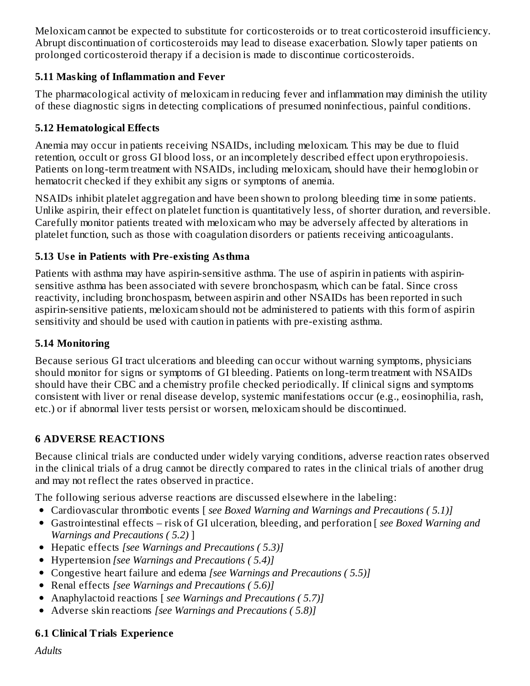Meloxicam cannot be expected to substitute for corticosteroids or to treat corticosteroid insufficiency. Abrupt discontinuation of corticosteroids may lead to disease exacerbation. Slowly taper patients on prolonged corticosteroid therapy if a decision is made to discontinue corticosteroids.

## **5.11 Masking of Inflammation and Fever**

The pharmacological activity of meloxicam in reducing fever and inflammation may diminish the utility of these diagnostic signs in detecting complications of presumed noninfectious, painful conditions.

#### **5.12 Hematological Effects**

Anemia may occur in patients receiving NSAIDs, including meloxicam. This may be due to fluid retention, occult or gross GI blood loss, or an incompletely described effect upon erythropoiesis. Patients on long-term treatment with NSAIDs, including meloxicam, should have their hemoglobin or hematocrit checked if they exhibit any signs or symptoms of anemia.

NSAIDs inhibit platelet aggregation and have been shown to prolong bleeding time in some patients. Unlike aspirin, their effect on platelet function is quantitatively less, of shorter duration, and reversible. Carefully monitor patients treated with meloxicam who may be adversely affected by alterations in platelet function, such as those with coagulation disorders or patients receiving anticoagulants.

#### **5.13 Us e in Patients with Pre-existing Asthma**

Patients with asthma may have aspirin-sensitive asthma. The use of aspirin in patients with aspirinsensitive asthma has been associated with severe bronchospasm, which can be fatal. Since cross reactivity, including bronchospasm, between aspirin and other NSAIDs has been reported in such aspirin-sensitive patients, meloxicam should not be administered to patients with this form of aspirin sensitivity and should be used with caution in patients with pre-existing asthma.

#### **5.14 Monitoring**

Because serious GI tract ulcerations and bleeding can occur without warning symptoms, physicians should monitor for signs or symptoms of GI bleeding. Patients on long-term treatment with NSAIDs should have their CBC and a chemistry profile checked periodically. If clinical signs and symptoms consistent with liver or renal disease develop, systemic manifestations occur (e.g., eosinophilia, rash, etc.) or if abnormal liver tests persist or worsen, meloxicam should be discontinued.

## **6 ADVERSE REACTIONS**

Because clinical trials are conducted under widely varying conditions, adverse reaction rates observed in the clinical trials of a drug cannot be directly compared to rates in the clinical trials of another drug and may not reflect the rates observed in practice.

The following serious adverse reactions are discussed elsewhere in the labeling:

- Cardiovascular thrombotic events [ *see Boxed Warning and Warnings and Precautions ( 5.1)]*
- Gastrointestinal effects risk of GI ulceration, bleeding, and perforation [ *see Boxed Warning and Warnings and Precautions ( 5.2)* ]
- Hepatic effects *[see Warnings and Precautions ( 5.3)]*
- Hypertension *[see Warnings and Precautions ( 5.4)]*
- Congestive heart failure and edema *[see Warnings and Precautions ( 5.5)]*
- Renal effects *[see Warnings and Precautions ( 5.6)]*
- Anaphylactoid reactions [ *see Warnings and Precautions ( 5.7)]*
- Adverse skin reactions *[see Warnings and Precautions ( 5.8)]*

## **6.1 Clinical Trials Experience**

*Adults*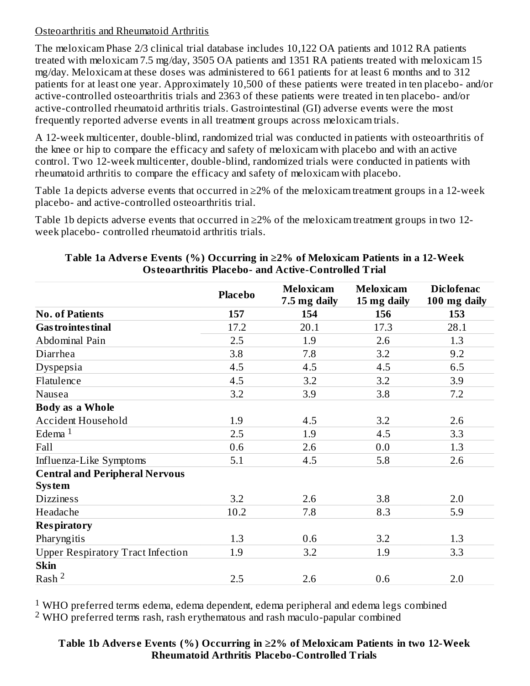#### Osteoarthritis and Rheumatoid Arthritis

The meloxicam Phase 2/3 clinical trial database includes 10,122 OA patients and 1012 RA patients treated with meloxicam 7.5 mg/day, 3505 OA patients and 1351 RA patients treated with meloxicam 15 mg/day. Meloxicam at these doses was administered to 661 patients for at least 6 months and to 312 patients for at least one year. Approximately 10,500 of these patients were treated in ten placebo- and/or active-controlled osteoarthritis trials and 2363 of these patients were treated in ten placebo- and/or active-controlled rheumatoid arthritis trials. Gastrointestinal (GI) adverse events were the most frequently reported adverse events in all treatment groups across meloxicam trials.

A 12-week multicenter, double-blind, randomized trial was conducted in patients with osteoarthritis of the knee or hip to compare the efficacy and safety of meloxicam with placebo and with an active control. Two 12-week multicenter, double-blind, randomized trials were conducted in patients with rheumatoid arthritis to compare the efficacy and safety of meloxicam with placebo.

Table 1a depicts adverse events that occurred in ≥2% of the meloxicam treatment groups in a 12-week placebo- and active-controlled osteoarthritis trial.

Table 1b depicts adverse events that occurred in ≥2% of the meloxicam treatment groups in two 12 week placebo- controlled rheumatoid arthritis trials.

|                                          | <b>Placebo</b> | <b>Meloxicam</b> | <b>Meloxicam</b> | <b>Diclofenac</b> |
|------------------------------------------|----------------|------------------|------------------|-------------------|
|                                          |                | 7.5 mg daily     | 15 mg daily      | 100 mg daily      |
| <b>No. of Patients</b>                   | 157            | 154              | 156              | 153               |
| <b>Gas trointes tinal</b>                | 17.2           | 20.1             | 17.3             | 28.1              |
| Abdominal Pain                           | 2.5            | 1.9              | 2.6              | 1.3               |
| Diarrhea                                 | 3.8            | 7.8              | 3.2              | 9.2               |
| Dyspepsia                                | 4.5            | 4.5              | 4.5              | 6.5               |
| Flatulence                               | 4.5            | 3.2              | 3.2              | 3.9               |
| Nausea                                   | 3.2            | 3.9              | 3.8              | 7.2               |
| <b>Body as a Whole</b>                   |                |                  |                  |                   |
| <b>Accident Household</b>                | 1.9            | 4.5              | 3.2              | 2.6               |
| Edema $1$                                | 2.5            | 1.9              | 4.5              | 3.3               |
| Fall                                     | 0.6            | 2.6              | 0.0              | 1.3               |
| Influenza-Like Symptoms                  | 5.1            | 4.5              | 5.8              | 2.6               |
| <b>Central and Peripheral Nervous</b>    |                |                  |                  |                   |
| <b>System</b>                            |                |                  |                  |                   |
| <b>Dizziness</b>                         | 3.2            | 2.6              | 3.8              | 2.0               |
| Headache                                 | 10.2           | 7.8              | 8.3              | 5.9               |
| <b>Respiratory</b>                       |                |                  |                  |                   |
| Pharyngitis                              | 1.3            | 0.6              | 3.2              | 1.3               |
| <b>Upper Respiratory Tract Infection</b> | 1.9            | 3.2              | 1.9              | 3.3               |
| <b>Skin</b>                              |                |                  |                  |                   |
| Rash <sup>2</sup>                        | 2.5            | 2.6              | 0.6              | 2.0               |

**Table 1a Advers e Events (%) Occurring in ≥2% of Meloxicam Patients in a 12-Week Osteoarthritis Placebo- and Active-Controlled Trial**

 $1$  WHO preferred terms edema, edema dependent, edema peripheral and edema legs combined <sup>2</sup> WHO preferred terms rash, rash erythematous and rash maculo-papular combined

#### **Table 1b Advers e Events (%) Occurring in ≥2% of Meloxicam Patients in two 12-Week Rheumatoid Arthritis Placebo-Controlled Trials**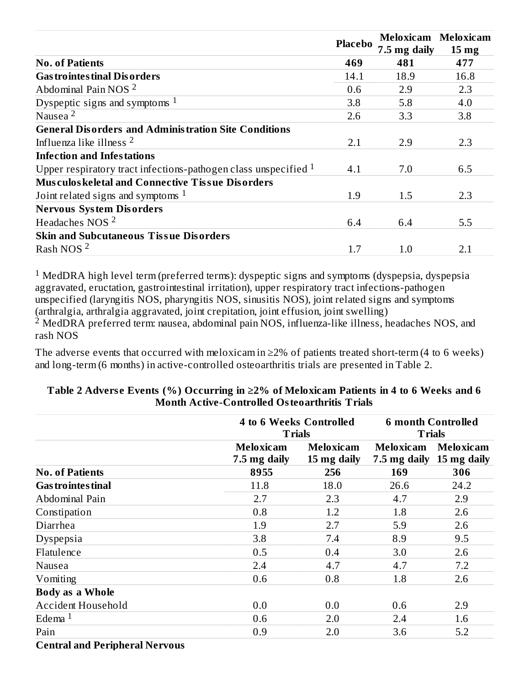|                                                                   | <b>Placebo</b> | <b>Meloxicam</b> | Meloxicam        |
|-------------------------------------------------------------------|----------------|------------------|------------------|
|                                                                   |                | 7.5 mg daily     | 15 <sub>mg</sub> |
| <b>No. of Patients</b>                                            | 469            | 481              | 477              |
| <b>Gas trointes tinal Disorders</b>                               | 14.1           | 18.9             | 16.8             |
| Abdominal Pain NOS <sup>2</sup>                                   | 0.6            | 2.9              | 2.3              |
| Dyspeptic signs and symptoms $1$                                  | 3.8            | 5.8              | 4.0              |
| Nausea <sup>2</sup>                                               | 2.6            | 3.3              | 3.8              |
| <b>General Disorders and Administration Site Conditions</b>       |                |                  |                  |
| Influenza like illness $2$                                        | 2.1            | 2.9              | 2.3              |
| <b>Infection and Infestations</b>                                 |                |                  |                  |
| Upper respiratory tract infections-pathogen class unspecified $1$ | 4.1            | 7.0              | 6.5              |
| <b>Musculoskeletal and Connective Tissue Disorders</b>            |                |                  |                  |
| Joint related signs and symptoms $1$                              | 1.9            | 1.5              | 2.3              |
| <b>Nervous System Disorders</b>                                   |                |                  |                  |
| Headaches NOS <sup>2</sup>                                        | 6.4            | 6.4              | 5.5              |
| <b>Skin and Subcutaneous Tissue Disorders</b>                     |                |                  |                  |
| Rash NOS <sup>2</sup>                                             | 1.7            | 1.0              | 2.1              |

<sup>1</sup> MedDRA high level term (preferred terms): dyspeptic signs and symptoms (dyspepsia, dyspepsia aggravated, eructation, gastrointestinal irritation), upper respiratory tract infections-pathogen unspecified (laryngitis NOS, pharyngitis NOS, sinusitis NOS), joint related signs and symptoms (arthralgia, arthralgia aggravated, joint crepitation, joint effusion, joint swelling)

 $2$  MedDRA preferred term: nausea, abdominal pain NOS, influenza-like illness, headaches NOS, and rash NOS

The adverse events that occurred with meloxicam in  $\geq$ 2% of patients treated short-term (4 to 6 weeks) and long-term (6 months) in active-controlled osteoarthritis trials are presented in Table 2.

|                           |                                  | <b>4 to 6 Weeks Controlled</b><br><b>Trials</b> |                                              | <b>6 month Controlled</b><br><b>Trials</b> |  |
|---------------------------|----------------------------------|-------------------------------------------------|----------------------------------------------|--------------------------------------------|--|
|                           | <b>Meloxicam</b><br>7.5 mg daily | <b>Meloxicam</b><br>15 mg daily                 | <b>Meloxicam</b><br>7.5 mg daily 15 mg daily | <b>Meloxicam</b>                           |  |
| <b>No. of Patients</b>    | 8955                             | 256                                             | 169                                          | 306                                        |  |
| <b>Gas trointes tinal</b> | 11.8                             | 18.0                                            | 26.6                                         | 24.2                                       |  |
| Abdominal Pain            | 2.7                              | 2.3                                             | 4.7                                          | 2.9                                        |  |
| Constipation              | 0.8                              | 1.2                                             | 1.8                                          | 2.6                                        |  |
| Diarrhea                  | 1.9                              | 2.7                                             | 5.9                                          | 2.6                                        |  |
| Dyspepsia                 | 3.8                              | 7.4                                             | 8.9                                          | 9.5                                        |  |
| Flatulence                | 0.5                              | 0.4                                             | 3.0                                          | 2.6                                        |  |
| Nausea                    | 2.4                              | 4.7                                             | 4.7                                          | 7.2                                        |  |
| Vomiting                  | 0.6                              | 0.8                                             | 1.8                                          | 2.6                                        |  |
| <b>Body as a Whole</b>    |                                  |                                                 |                                              |                                            |  |
| <b>Accident Household</b> | 0.0                              | 0.0                                             | 0.6                                          | 2.9                                        |  |
| Edema $1$                 | 0.6                              | 2.0                                             | 2.4                                          | 1.6                                        |  |
| Pain                      | 0.9                              | 2.0                                             | 3.6                                          | 5.2                                        |  |
| ._                        |                                  |                                                 |                                              |                                            |  |

#### **Table 2 Advers e Events (%) Occurring in ≥2% of Meloxicam Patients in 4 to 6 Weeks and 6 Month Active-Controlled Osteoarthritis Trials**

**Central and Peripheral Nervous**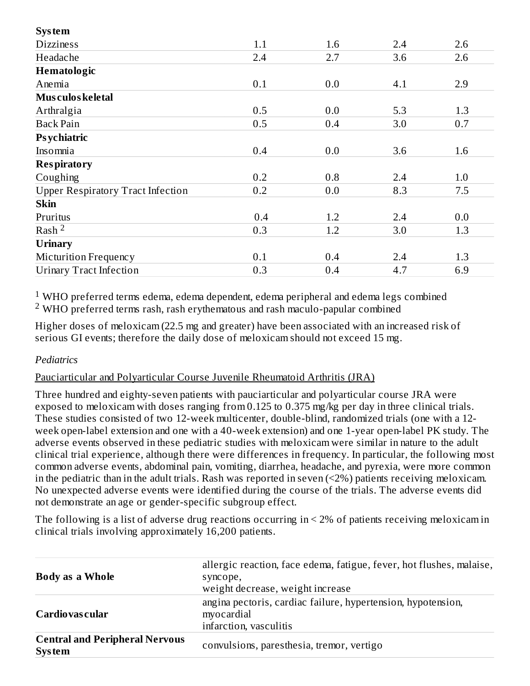| <b>System</b>                            |     |     |     |     |
|------------------------------------------|-----|-----|-----|-----|
| <b>Dizziness</b>                         | 1.1 | 1.6 | 2.4 | 2.6 |
| Headache                                 | 2.4 | 2.7 | 3.6 | 2.6 |
| Hematologic                              |     |     |     |     |
| Anemia                                   | 0.1 | 0.0 | 4.1 | 2.9 |
| Mus culos keletal                        |     |     |     |     |
| Arthralgia                               | 0.5 | 0.0 | 5.3 | 1.3 |
| <b>Back Pain</b>                         | 0.5 | 0.4 | 3.0 | 0.7 |
| <b>Psychiatric</b>                       |     |     |     |     |
| Insomnia                                 | 0.4 | 0.0 | 3.6 | 1.6 |
| <b>Respiratory</b>                       |     |     |     |     |
| Coughing                                 | 0.2 | 0.8 | 2.4 | 1.0 |
| <b>Upper Respiratory Tract Infection</b> | 0.2 | 0.0 | 8.3 | 7.5 |
| <b>Skin</b>                              |     |     |     |     |
| Pruritus                                 | 0.4 | 1.2 | 2.4 | 0.0 |
| Rash <sup>2</sup>                        | 0.3 | 1.2 | 3.0 | 1.3 |
| <b>Urinary</b>                           |     |     |     |     |
| Micturition Frequency                    | 0.1 | 0.4 | 2.4 | 1.3 |
| <b>Urinary Tract Infection</b>           | 0.3 | 0.4 | 4.7 | 6.9 |

 $1$  WHO preferred terms edema, edema dependent, edema peripheral and edema legs combined <sup>2</sup> WHO preferred terms rash, rash erythematous and rash maculo-papular combined

Higher doses of meloxicam (22.5 mg and greater) have been associated with an increased risk of serious GI events; therefore the daily dose of meloxicam should not exceed 15 mg.

#### *Pediatrics*

#### Pauciarticular and Polyarticular Course Juvenile Rheumatoid Arthritis (JRA)

Three hundred and eighty-seven patients with pauciarticular and polyarticular course JRA were exposed to meloxicam with doses ranging from 0.125 to 0.375 mg/kg per day in three clinical trials. These studies consisted of two 12-week multicenter, double-blind, randomized trials (one with a 12 week open-label extension and one with a 40-week extension) and one 1-year open-label PK study. The adverse events observed in these pediatric studies with meloxicam were similar in nature to the adult clinical trial experience, although there were differences in frequency. In particular, the following most common adverse events, abdominal pain, vomiting, diarrhea, headache, and pyrexia, were more common in the pediatric than in the adult trials. Rash was reported in seven (<2%) patients receiving meloxicam. No unexpected adverse events were identified during the course of the trials. The adverse events did not demonstrate an age or gender-specific subgroup effect.

The following is a list of adverse drug reactions occurring in < 2% of patients receiving meloxicam in clinical trials involving approximately 16,200 patients.

| <b>Body as a Whole</b>                                 | allergic reaction, face edema, fatigue, fever, hot flushes, malaise,<br>syncope, |
|--------------------------------------------------------|----------------------------------------------------------------------------------|
|                                                        | weight decrease, weight increase                                                 |
|                                                        | angina pectoris, cardiac failure, hypertension, hypotension,                     |
| Cardiovas cular                                        | myocardial                                                                       |
|                                                        | infarction, vasculitis                                                           |
| <b>Central and Peripheral Nervous</b><br><b>System</b> | convulsions, paresthesia, tremor, vertigo                                        |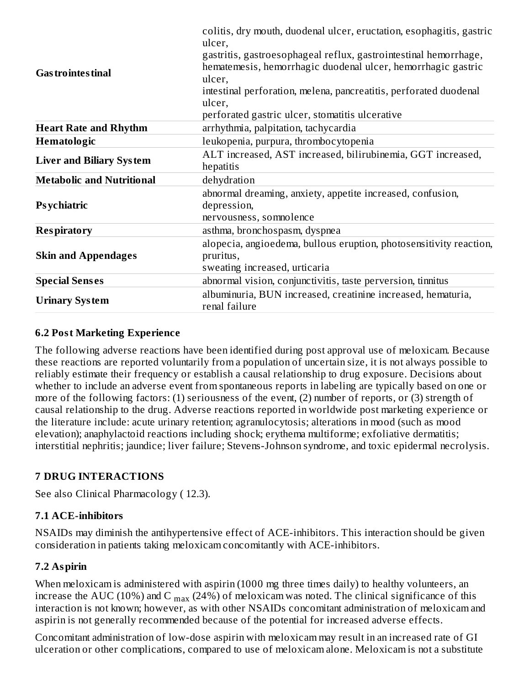| <b>Gas trointes tinal</b>        | colitis, dry mouth, duodenal ulcer, eructation, esophagitis, gastric<br>ulcer,<br>gastritis, gastroesophageal reflux, gastrointestinal hemorrhage,<br>hematemesis, hemorrhagic duodenal ulcer, hemorrhagic gastric<br>ulcer,<br>intestinal perforation, melena, pancreatitis, perforated duodenal<br>ulcer,<br>perforated gastric ulcer, stomatitis ulcerative |
|----------------------------------|----------------------------------------------------------------------------------------------------------------------------------------------------------------------------------------------------------------------------------------------------------------------------------------------------------------------------------------------------------------|
| <b>Heart Rate and Rhythm</b>     | arrhythmia, palpitation, tachycardia                                                                                                                                                                                                                                                                                                                           |
| Hematologic                      | leukopenia, purpura, thrombocytopenia                                                                                                                                                                                                                                                                                                                          |
| <b>Liver and Biliary System</b>  | ALT increased, AST increased, bilirubinemia, GGT increased,<br>hepatitis                                                                                                                                                                                                                                                                                       |
| <b>Metabolic and Nutritional</b> | dehydration                                                                                                                                                                                                                                                                                                                                                    |
| <b>Psychiatric</b>               | abnormal dreaming, anxiety, appetite increased, confusion,<br>depression,<br>nervousness, sommolence                                                                                                                                                                                                                                                           |
| <b>Respiratory</b>               | asthma, bronchospasm, dyspnea                                                                                                                                                                                                                                                                                                                                  |
| <b>Skin and Appendages</b>       | alopecia, angioedema, bullous eruption, photosensitivity reaction,<br>pruritus,<br>sweating increased, urticaria                                                                                                                                                                                                                                               |
| <b>Special Senses</b>            | abnormal vision, conjunctivitis, taste perversion, tinnitus                                                                                                                                                                                                                                                                                                    |
| <b>Urinary System</b>            | albuminuria, BUN increased, creatinine increased, hematuria,<br>renal failure                                                                                                                                                                                                                                                                                  |

#### **6.2 Post Marketing Experience**

The following adverse reactions have been identified during post approval use of meloxicam. Because these reactions are reported voluntarily from a population of uncertain size, it is not always possible to reliably estimate their frequency or establish a causal relationship to drug exposure. Decisions about whether to include an adverse event from spontaneous reports in labeling are typically based on one or more of the following factors: (1) seriousness of the event, (2) number of reports, or (3) strength of causal relationship to the drug. Adverse reactions reported in worldwide post marketing experience or the literature include: acute urinary retention; agranulocytosis; alterations in mood (such as mood elevation); anaphylactoid reactions including shock; erythema multiforme; exfoliative dermatitis; interstitial nephritis; jaundice; liver failure; Stevens-Johnson syndrome, and toxic epidermal necrolysis.

#### **7 DRUG INTERACTIONS**

See also Clinical Pharmacology ( 12.3).

#### **7.1 ACE-inhibitors**

NSAIDs may diminish the antihypertensive effect of ACE-inhibitors. This interaction should be given consideration in patients taking meloxicam concomitantly with ACE-inhibitors.

## **7.2 Aspirin**

When meloxicam is administered with aspirin (1000 mg three times daily) to healthy volunteers, an increase the AUC (10%) and C  $_{\rm max}$  (24%) of meloxicam was noted. The clinical significance of this interaction is not known; however, as with other NSAIDs concomitant administration of meloxicam and aspirin is not generally recommended because of the potential for increased adverse effects.

Concomitant administration of low-dose aspirin with meloxicam may result in an increased rate of GI ulceration or other complications, compared to use of meloxicam alone. Meloxicam is not a substitute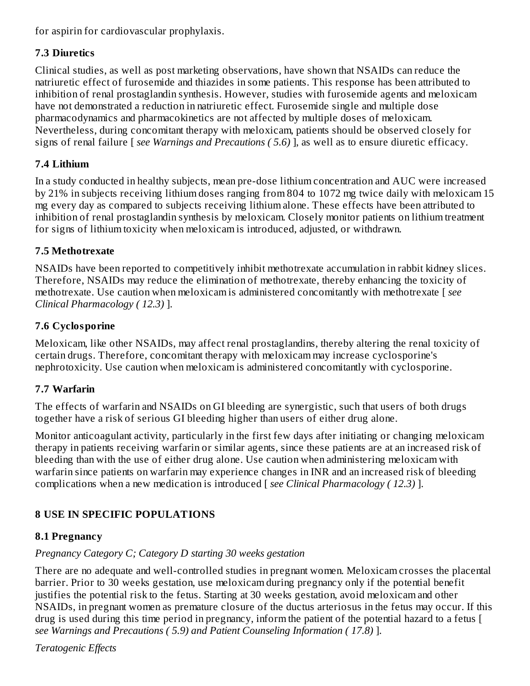for aspirin for cardiovascular prophylaxis.

## **7.3 Diuretics**

Clinical studies, as well as post marketing observations, have shown that NSAIDs can reduce the natriuretic effect of furosemide and thiazides in some patients. This response has been attributed to inhibition of renal prostaglandin synthesis. However, studies with furosemide agents and meloxicam have not demonstrated a reduction in natriuretic effect. Furosemide single and multiple dose pharmacodynamics and pharmacokinetics are not affected by multiple doses of meloxicam. Nevertheless, during concomitant therapy with meloxicam, patients should be observed closely for signs of renal failure [ *see Warnings and Precautions ( 5.6)* ], as well as to ensure diuretic efficacy.

## **7.4 Lithium**

In a study conducted in healthy subjects, mean pre-dose lithium concentration and AUC were increased by 21% in subjects receiving lithium doses ranging from 804 to 1072 mg twice daily with meloxicam 15 mg every day as compared to subjects receiving lithium alone. These effects have been attributed to inhibition of renal prostaglandin synthesis by meloxicam. Closely monitor patients on lithium treatment for signs of lithium toxicity when meloxicam is introduced, adjusted, or withdrawn.

# **7.5 Methotrexate**

NSAIDs have been reported to competitively inhibit methotrexate accumulation in rabbit kidney slices. Therefore, NSAIDs may reduce the elimination of methotrexate, thereby enhancing the toxicity of methotrexate. Use caution when meloxicam is administered concomitantly with methotrexate [ *see Clinical Pharmacology ( 12.3)* ].

# **7.6 Cyclosporine**

Meloxicam, like other NSAIDs, may affect renal prostaglandins, thereby altering the renal toxicity of certain drugs. Therefore, concomitant therapy with meloxicam may increase cyclosporine's nephrotoxicity. Use caution when meloxicam is administered concomitantly with cyclosporine.

# **7.7 Warfarin**

The effects of warfarin and NSAIDs on GI bleeding are synergistic, such that users of both drugs together have a risk of serious GI bleeding higher than users of either drug alone.

Monitor anticoagulant activity, particularly in the first few days after initiating or changing meloxicam therapy in patients receiving warfarin or similar agents, since these patients are at an increased risk of bleeding than with the use of either drug alone. Use caution when administering meloxicam with warfarin since patients on warfarin may experience changes in INR and an increased risk of bleeding complications when a new medication is introduced [ *see Clinical Pharmacology ( 12.3)* ].

# **8 USE IN SPECIFIC POPULATIONS**

# **8.1 Pregnancy**

## *Pregnancy Category C; Category D starting 30 weeks gestation*

There are no adequate and well-controlled studies in pregnant women. Meloxicam crosses the placental barrier. Prior to 30 weeks gestation, use meloxicam during pregnancy only if the potential benefit justifies the potential risk to the fetus. Starting at 30 weeks gestation, avoid meloxicam and other NSAIDs, in pregnant women as premature closure of the ductus arteriosus in the fetus may occur. If this drug is used during this time period in pregnancy, inform the patient of the potential hazard to a fetus [ *see Warnings and Precautions ( 5.9) and Patient Counseling Information ( 17.8)* ].

*Teratogenic Effects*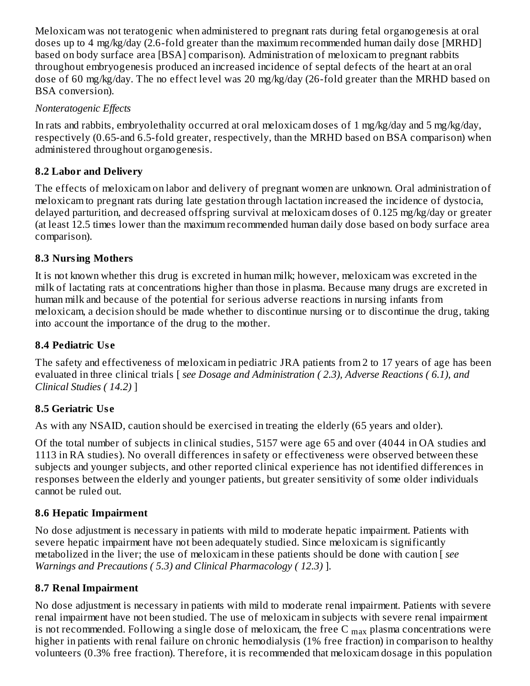Meloxicam was not teratogenic when administered to pregnant rats during fetal organogenesis at oral doses up to 4 mg/kg/day (2.6-fold greater than the maximum recommended human daily dose [MRHD] based on body surface area [BSA] comparison). Administration of meloxicam to pregnant rabbits throughout embryogenesis produced an increased incidence of septal defects of the heart at an oral dose of 60 mg/kg/day. The no effect level was 20 mg/kg/day (26-fold greater than the MRHD based on BSA conversion).

## *Nonteratogenic Effects*

In rats and rabbits, embryolethality occurred at oral meloxicam doses of 1 mg/kg/day and 5 mg/kg/day, respectively (0.65-and 6.5-fold greater, respectively, than the MRHD based on BSA comparison) when administered throughout organogenesis.

# **8.2 Labor and Delivery**

The effects of meloxicam on labor and delivery of pregnant women are unknown. Oral administration of meloxicam to pregnant rats during late gestation through lactation increased the incidence of dystocia, delayed parturition, and decreased offspring survival at meloxicam doses of 0.125 mg/kg/day or greater (at least 12.5 times lower than the maximum recommended human daily dose based on body surface area comparison).

# **8.3 Nursing Mothers**

It is not known whether this drug is excreted in human milk; however, meloxicam was excreted in the milk of lactating rats at concentrations higher than those in plasma. Because many drugs are excreted in human milk and because of the potential for serious adverse reactions in nursing infants from meloxicam, a decision should be made whether to discontinue nursing or to discontinue the drug, taking into account the importance of the drug to the mother.

# **8.4 Pediatric Us e**

The safety and effectiveness of meloxicam in pediatric JRA patients from 2 to 17 years of age has been evaluated in three clinical trials [ *see Dosage and Administration ( 2.3), Adverse Reactions ( 6.1), and Clinical Studies ( 14.2)* ]

# **8.5 Geriatric Us e**

As with any NSAID, caution should be exercised in treating the elderly (65 years and older).

Of the total number of subjects in clinical studies, 5157 were age 65 and over (4044 in OA studies and 1113 in RA studies). No overall differences in safety or effectiveness were observed between these subjects and younger subjects, and other reported clinical experience has not identified differences in responses between the elderly and younger patients, but greater sensitivity of some older individuals cannot be ruled out.

## **8.6 Hepatic Impairment**

No dose adjustment is necessary in patients with mild to moderate hepatic impairment. Patients with severe hepatic impairment have not been adequately studied. Since meloxicam is significantly metabolized in the liver; the use of meloxicam in these patients should be done with caution [ *see Warnings and Precautions ( 5.3) and Clinical Pharmacology ( 12.3)* ].

# **8.7 Renal Impairment**

No dose adjustment is necessary in patients with mild to moderate renal impairment. Patients with severe renal impairment have not been studied. The use of meloxicam in subjects with severe renal impairment is not recommended. Following a single dose of meloxicam, the free C  $_{\rm max}$  plasma concentrations were higher in patients with renal failure on chronic hemodialysis (1% free fraction) in comparison to healthy volunteers (0.3% free fraction). Therefore, it is recommended that meloxicam dosage in this population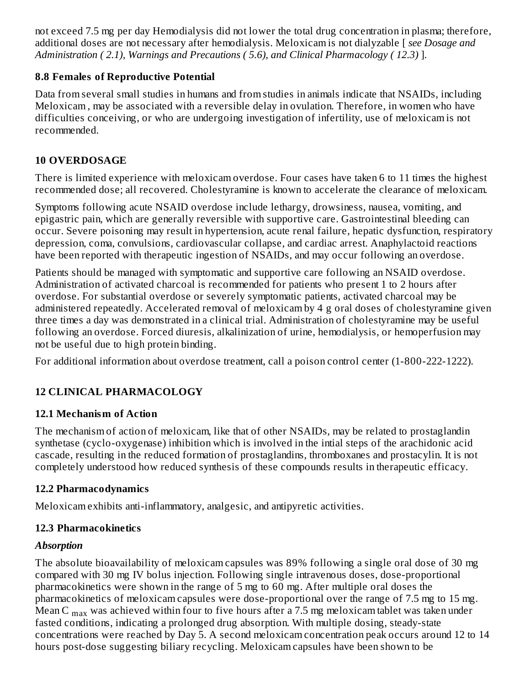not exceed 7.5 mg per day Hemodialysis did not lower the total drug concentration in plasma; therefore, additional doses are not necessary after hemodialysis. Meloxicam is not dialyzable [ *see Dosage and Administration ( 2.1), Warnings and Precautions ( 5.6), and Clinical Pharmacology ( 12.3)* ].

#### **8.8 Females of Reproductive Potential**

Data from several small studies in humans and from studies in animals indicate that NSAIDs, including Meloxicam , may be associated with a reversible delay in ovulation. Therefore, in women who have difficulties conceiving, or who are undergoing investigation of infertility, use of meloxicam is not recommended.

#### **10 OVERDOSAGE**

There is limited experience with meloxicam overdose. Four cases have taken 6 to 11 times the highest recommended dose; all recovered. Cholestyramine is known to accelerate the clearance of meloxicam.

Symptoms following acute NSAID overdose include lethargy, drowsiness, nausea, vomiting, and epigastric pain, which are generally reversible with supportive care. Gastrointestinal bleeding can occur. Severe poisoning may result in hypertension, acute renal failure, hepatic dysfunction, respiratory depression, coma, convulsions, cardiovascular collapse, and cardiac arrest. Anaphylactoid reactions have been reported with therapeutic ingestion of NSAIDs, and may occur following an overdose.

Patients should be managed with symptomatic and supportive care following an NSAID overdose. Administration of activated charcoal is recommended for patients who present 1 to 2 hours after overdose. For substantial overdose or severely symptomatic patients, activated charcoal may be administered repeatedly. Accelerated removal of meloxicam by 4 g oral doses of cholestyramine given three times a day was demonstrated in a clinical trial. Administration of cholestyramine may be useful following an overdose. Forced diuresis, alkalinization of urine, hemodialysis, or hemoperfusion may not be useful due to high protein binding.

For additional information about overdose treatment, call a poison control center (1-800-222-1222).

# **12 CLINICAL PHARMACOLOGY**

## **12.1 Mechanism of Action**

The mechanism of action of meloxicam, like that of other NSAIDs, may be related to prostaglandin synthetase (cyclo-oxygenase) inhibition which is involved in the intial steps of the arachidonic acid cascade, resulting in the reduced formation of prostaglandins, thromboxanes and prostacylin. It is not completely understood how reduced synthesis of these compounds results in therapeutic efficacy.

## **12.2 Pharmacodynamics**

Meloxicam exhibits anti-inflammatory, analgesic, and antipyretic activities.

## **12.3 Pharmacokinetics**

## *Absorption*

The absolute bioavailability of meloxicam capsules was 89% following a single oral dose of 30 mg compared with 30 mg IV bolus injection. Following single intravenous doses, dose-proportional pharmacokinetics were shown in the range of 5 mg to 60 mg. After multiple oral doses the pharmacokinetics of meloxicam capsules were dose-proportional over the range of 7.5 mg to 15 mg. Mean C  $_{\rm max}$  was achieved within four to five hours after a 7.5 mg meloxicam tablet was taken under fasted conditions, indicating a prolonged drug absorption. With multiple dosing, steady-state concentrations were reached by Day 5. A second meloxicam concentration peak occurs around 12 to 14 hours post-dose suggesting biliary recycling. Meloxicam capsules have been shown to be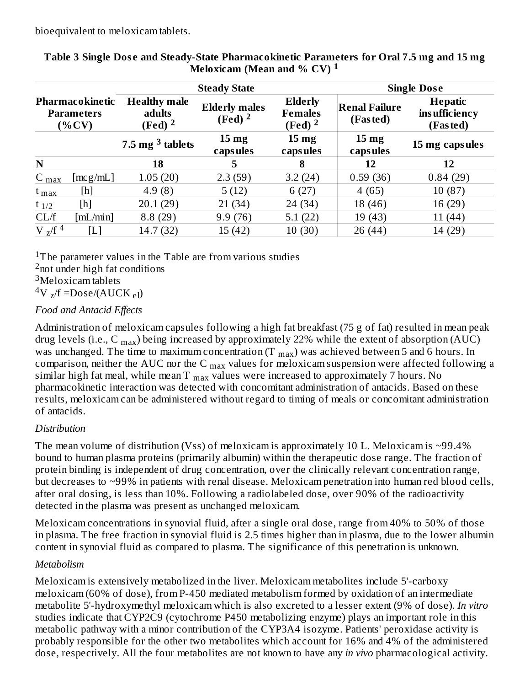bioequivalent to meloxicam tablets.

|                                 |                                                  |                                             | <b>Steady State</b>                        |                                                | <b>Single Dose</b>                                                         |                |  |
|---------------------------------|--------------------------------------------------|---------------------------------------------|--------------------------------------------|------------------------------------------------|----------------------------------------------------------------------------|----------------|--|
|                                 | Pharmacokinetic<br><b>Parameters</b><br>$(\%CV)$ | <b>Healthy male</b><br>adults<br>(Fed) $^2$ | <b>Elderly males</b><br>(Fed) <sup>2</sup> | <b>Elderly</b><br><b>Females</b><br>(Fed) $^2$ | Hepatic<br><b>Renal Failure</b><br>ins ufficiency<br>(Fasted)<br>(Fas ted) |                |  |
|                                 |                                                  | 7.5 mg $3$ tablets                          | $15 \text{ mg}$<br>capsules                | $15 \text{ mg}$<br>capsules                    | 15 <sub>mg</sub><br>capsules                                               | 15 mg capsules |  |
| N                               |                                                  | 18                                          | 5                                          | 8                                              | 12                                                                         | 12             |  |
| $C_{\text{max}}$                | [mcg/mL]                                         | 1.05(20)                                    | 2.3(59)                                    | 3.2(24)                                        | 0.59(36)                                                                   | 0.84(29)       |  |
| $t_{\text{max}}$                | [h]                                              | 4.9(8)                                      | 5(12)                                      | 6(27)                                          | 4(65)                                                                      | 10 (87)        |  |
| $t_{1/2}$                       | [h]                                              | 20.1(29)                                    | 21(34)                                     | 24 (34)                                        | 18 (46)                                                                    | 16 (29)        |  |
| CL/f                            | [mL/min]                                         | 8.8(29)                                     | 9.9(76)                                    | 5.1(22)                                        | 19 (43)                                                                    | 11(44)         |  |
| V $\frac{1}{2}$ /f <sup>4</sup> | [L]                                              | 14.7 (32)                                   | 15 (42)                                    | 10(30)                                         | 26 (44)                                                                    | 14 (29)        |  |

**Table 3 Single Dos e and Steady-State Pharmacokinetic Parameters for Oral 7.5 mg and 15 mg Meloxicam (Mean and % CV) 1**

<sup>1</sup>The parameter values in the Table are from various studies <sup>2</sup> not under high fat conditions <sup>3</sup>Meloxicam tablets  $4V_Z/f =$ Dose/(AUCK <sub>el</sub>)

#### *Food and Antacid Effects*

Administration of meloxicam capsules following a high fat breakfast (75 g of fat) resulted in mean peak drug levels (i.e., C  $_{\rm max}$ ) being increased by approximately 22% while the extent of absorption (AUC) was unchanged. The time to maximum concentration (T  $_{\rm max}$ ) was achieved between 5 and 6 hours. In comparison, neither the AUC nor the C  $_{\rm max}$  values for meloxicam suspension were affected following a similar high fat meal, while mean T  $_{\rm max}$  values were increased to approximately 7 hours. No pharmacokinetic interaction was detected with concomitant administration of antacids. Based on these results, meloxicam can be administered without regard to timing of meals or concomitant administration of antacids.

## *Distribution*

The mean volume of distribution (Vss) of meloxicam is approximately 10 L. Meloxicam is  $\sim$ 99.4% bound to human plasma proteins (primarily albumin) within the therapeutic dose range. The fraction of protein binding is independent of drug concentration, over the clinically relevant concentration range, but decreases to ~99% in patients with renal disease. Meloxicam penetration into human red blood cells, after oral dosing, is less than 10%. Following a radiolabeled dose, over 90% of the radioactivity detected in the plasma was present as unchanged meloxicam.

Meloxicam concentrations in synovial fluid, after a single oral dose, range from 40% to 50% of those in plasma. The free fraction in synovial fluid is 2.5 times higher than in plasma, due to the lower albumin content in synovial fluid as compared to plasma. The significance of this penetration is unknown.

#### *Metabolism*

Meloxicam is extensively metabolized in the liver. Meloxicam metabolites include 5'-carboxy meloxicam (60% of dose), from P-450 mediated metabolism formed by oxidation of an intermediate metabolite 5'-hydroxymethyl meloxicam which is also excreted to a lesser extent (9% of dose). *In vitro* studies indicate that CYP2C9 (cytochrome P450 metabolizing enzyme) plays an important role in this metabolic pathway with a minor contribution of the CYP3A4 isozyme. Patients' peroxidase activity is probably responsible for the other two metabolites which account for 16% and 4% of the administered dose, respectively. All the four metabolites are not known to have any *in vivo* pharmacological activity.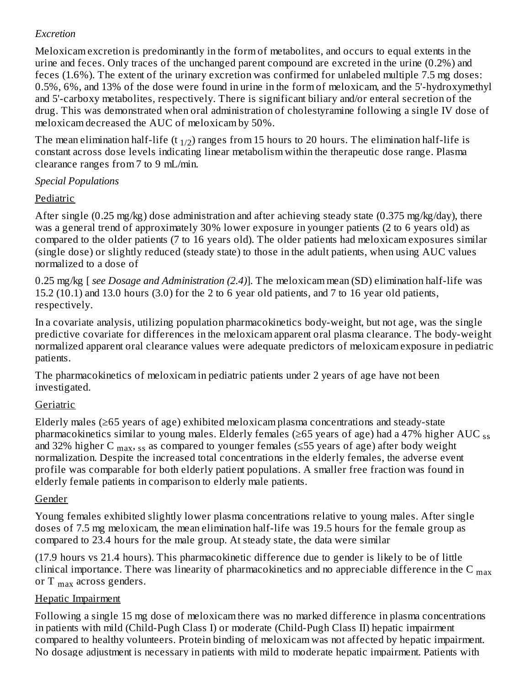#### *Excretion*

Meloxicam excretion is predominantly in the form of metabolites, and occurs to equal extents in the urine and feces. Only traces of the unchanged parent compound are excreted in the urine (0.2%) and feces (1.6%). The extent of the urinary excretion was confirmed for unlabeled multiple 7.5 mg doses: 0.5%, 6%, and 13% of the dose were found in urine in the form of meloxicam, and the 5'-hydroxymethyl and 5'-carboxy metabolites, respectively. There is significant biliary and/or enteral secretion of the drug. This was demonstrated when oral administration of cholestyramine following a single IV dose of meloxicam decreased the AUC of meloxicam by 50%.

The mean elimination half-life (t  $_{1/2}$ ) ranges from 15 hours to 20 hours. The elimination half-life is constant across dose levels indicating linear metabolism within the therapeutic dose range. Plasma clearance ranges from 7 to 9 mL/min.

## *Special Populations*

# Pediatric

After single (0.25 mg/kg) dose administration and after achieving steady state (0.375 mg/kg/day), there was a general trend of approximately 30% lower exposure in younger patients (2 to 6 years old) as compared to the older patients (7 to 16 years old). The older patients had meloxicam exposures similar (single dose) or slightly reduced (steady state) to those in the adult patients, when using AUC values normalized to a dose of

0.25 mg/kg [ *see Dosage and Administration (2.4)*]. The meloxicam mean (SD) elimination half-life was 15.2 (10.1) and 13.0 hours (3.0) for the 2 to 6 year old patients, and 7 to 16 year old patients, respectively.

In a covariate analysis, utilizing population pharmacokinetics body-weight, but not age, was the single predictive covariate for differences in the meloxicam apparent oral plasma clearance. The body-weight normalized apparent oral clearance values were adequate predictors of meloxicam exposure in pediatric patients.

The pharmacokinetics of meloxicam in pediatric patients under 2 years of age have not been investigated.

## **Geriatric**

Elderly males (≥65 years of age) exhibited meloxicam plasma concentrations and steady-state pharmacokinetics similar to young males. Elderly females (≥65 years of age) had a 47% higher AUC  $_{\rm ss}$ and 32% higher C  $_{\rm max},$   $_{\rm ss}$  as compared to younger females (≤55 years of age) after body weight normalization. Despite the increased total concentrations in the elderly females, the adverse event profile was comparable for both elderly patient populations. A smaller free fraction was found in elderly female patients in comparison to elderly male patients.

## Gender

Young females exhibited slightly lower plasma concentrations relative to young males. After single doses of 7.5 mg meloxicam, the mean elimination half-life was 19.5 hours for the female group as compared to 23.4 hours for the male group. At steady state, the data were similar

(17.9 hours vs 21.4 hours). This pharmacokinetic difference due to gender is likely to be of little clinical importance. There was linearity of pharmacokinetics and no appreciable difference in the C  $_{\rm max}$ or T  $_{\rm max}$  across genders.

## Hepatic Impairment

Following a single 15 mg dose of meloxicam there was no marked difference in plasma concentrations in patients with mild (Child-Pugh Class I) or moderate (Child-Pugh Class II) hepatic impairment compared to healthy volunteers. Protein binding of meloxicam was not affected by hepatic impairment. No dosage adjustment is necessary in patients with mild to moderate hepatic impairment. Patients with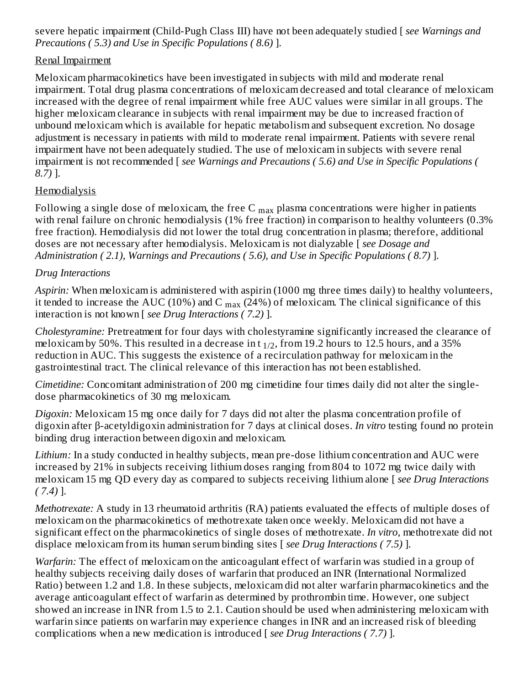severe hepatic impairment (Child-Pugh Class III) have not been adequately studied [ *see Warnings and Precautions ( 5.3) and Use in Specific Populations ( 8.6)* ].

#### Renal Impairment

Meloxicam pharmacokinetics have been investigated in subjects with mild and moderate renal impairment. Total drug plasma concentrations of meloxicam decreased and total clearance of meloxicam increased with the degree of renal impairment while free AUC values were similar in all groups. The higher meloxicam clearance in subjects with renal impairment may be due to increased fraction of unbound meloxicam which is available for hepatic metabolism and subsequent excretion. No dosage adjustment is necessary in patients with mild to moderate renal impairment. Patients with severe renal impairment have not been adequately studied. The use of meloxicam in subjects with severe renal impairment is not recommended [ *see Warnings and Precautions ( 5.6) and Use in Specific Populations ( 8.7)* ].

## **Hemodialysis**

Following a single dose of meloxicam, the free C  $_{\rm max}$  plasma concentrations were higher in patients with renal failure on chronic hemodialysis (1% free fraction) in comparison to healthy volunteers (0.3% free fraction). Hemodialysis did not lower the total drug concentration in plasma; therefore, additional doses are not necessary after hemodialysis. Meloxicam is not dialyzable [ *see Dosage and Administration ( 2.1), Warnings and Precautions ( 5.6), and Use in Specific Populations ( 8.7)* ].

#### *Drug Interactions*

*Aspirin:* When meloxicam is administered with aspirin (1000 mg three times daily) to healthy volunteers, it tended to increase the AUC (10%) and C  $_{\rm max}$  (24%) of meloxicam. The clinical significance of this interaction is not known [ *see Drug Interactions ( 7.2)* ].

*Cholestyramine:* Pretreatment for four days with cholestyramine significantly increased the clearance of meloxicam by 50%. This resulted in a decrease in t  $_{1/2}$ , from 19.2 hours to 12.5 hours, and a 35% reduction in AUC. This suggests the existence of a recirculation pathway for meloxicam in the gastrointestinal tract. The clinical relevance of this interaction has not been established.

*Cimetidine:* Concomitant administration of 200 mg cimetidine four times daily did not alter the singledose pharmacokinetics of 30 mg meloxicam.

*Digoxin:* Meloxicam 15 mg once daily for 7 days did not alter the plasma concentration profile of digoxin after β-acetyldigoxin administration for 7 days at clinical doses. *In vitro* testing found no protein binding drug interaction between digoxin and meloxicam.

*Lithium:* In a study conducted in healthy subjects, mean pre-dose lithium concentration and AUC were increased by 21% in subjects receiving lithium doses ranging from 804 to 1072 mg twice daily with meloxicam 15 mg QD every day as compared to subjects receiving lithium alone [ *see Drug Interactions ( 7.4)* ].

*Methotrexate:* A study in 13 rheumatoid arthritis (RA) patients evaluated the effects of multiple doses of meloxicam on the pharmacokinetics of methotrexate taken once weekly. Meloxicam did not have a significant effect on the pharmacokinetics of single doses of methotrexate. *In vitro*, methotrexate did not displace meloxicam from its human serum binding sites [ *see Drug Interactions ( 7.5)* ].

*Warfarin:* The effect of meloxicam on the anticoagulant effect of warfarin was studied in a group of healthy subjects receiving daily doses of warfarin that produced an INR (International Normalized Ratio) between 1.2 and 1.8. In these subjects, meloxicam did not alter warfarin pharmacokinetics and the average anticoagulant effect of warfarin as determined by prothrombin time. However, one subject showed an increase in INR from 1.5 to 2.1. Caution should be used when administering meloxicam with warfarin since patients on warfarin may experience changes in INR and an increased risk of bleeding complications when a new medication is introduced [ *see Drug Interactions ( 7.7)* ].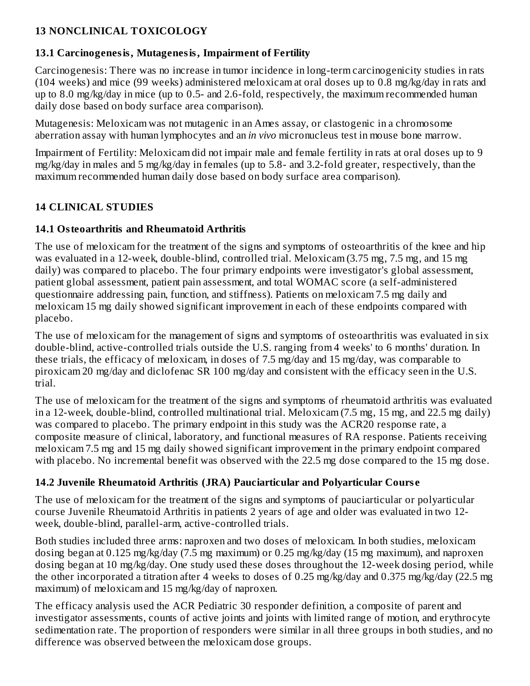## **13 NONCLINICAL TOXICOLOGY**

# **13.1 Carcinogenesis, Mutagenesis, Impairment of Fertility**

Carcinogenesis: There was no increase in tumor incidence in long-term carcinogenicity studies in rats (104 weeks) and mice (99 weeks) administered meloxicam at oral doses up to 0.8 mg/kg/day in rats and up to 8.0 mg/kg/day in mice (up to 0.5- and 2.6-fold, respectively, the maximum recommended human daily dose based on body surface area comparison).

Mutagenesis: Meloxicam was not mutagenic in an Ames assay, or clastogenic in a chromosome aberration assay with human lymphocytes and an *in vivo* micronucleus test in mouse bone marrow.

Impairment of Fertility: Meloxicam did not impair male and female fertility in rats at oral doses up to 9 mg/kg/day in males and 5 mg/kg/day in females (up to 5.8- and 3.2-fold greater, respectively, than the maximum recommended human daily dose based on body surface area comparison).

# **14 CLINICAL STUDIES**

# **14.1 Osteoarthritis and Rheumatoid Arthritis**

The use of meloxicam for the treatment of the signs and symptoms of osteoarthritis of the knee and hip was evaluated in a 12-week, double-blind, controlled trial. Meloxicam (3.75 mg, 7.5 mg, and 15 mg daily) was compared to placebo. The four primary endpoints were investigator's global assessment, patient global assessment, patient pain assessment, and total WOMAC score (a self-administered questionnaire addressing pain, function, and stiffness). Patients on meloxicam 7.5 mg daily and meloxicam 15 mg daily showed significant improvement in each of these endpoints compared with placebo.

The use of meloxicam for the management of signs and symptoms of osteoarthritis was evaluated in six double-blind, active-controlled trials outside the U.S. ranging from 4 weeks' to 6 months' duration. In these trials, the efficacy of meloxicam, in doses of 7.5 mg/day and 15 mg/day, was comparable to piroxicam 20 mg/day and diclofenac SR 100 mg/day and consistent with the efficacy seen in the U.S. trial.

The use of meloxicam for the treatment of the signs and symptoms of rheumatoid arthritis was evaluated in a 12-week, double-blind, controlled multinational trial. Meloxicam (7.5 mg, 15 mg, and 22.5 mg daily) was compared to placebo. The primary endpoint in this study was the ACR20 response rate, a composite measure of clinical, laboratory, and functional measures of RA response. Patients receiving meloxicam 7.5 mg and 15 mg daily showed significant improvement in the primary endpoint compared with placebo. No incremental benefit was observed with the 22.5 mg dose compared to the 15 mg dose.

# **14.2 Juvenile Rheumatoid Arthritis (JRA) Pauciarticular and Polyarticular Cours e**

The use of meloxicam for the treatment of the signs and symptoms of pauciarticular or polyarticular course Juvenile Rheumatoid Arthritis in patients 2 years of age and older was evaluated in two 12 week, double-blind, parallel-arm, active-controlled trials.

Both studies included three arms: naproxen and two doses of meloxicam. In both studies, meloxicam dosing began at 0.125 mg/kg/day (7.5 mg maximum) or 0.25 mg/kg/day (15 mg maximum), and naproxen dosing began at 10 mg/kg/day. One study used these doses throughout the 12-week dosing period, while the other incorporated a titration after 4 weeks to doses of 0.25 mg/kg/day and 0.375 mg/kg/day (22.5 mg maximum) of meloxicam and 15 mg/kg/day of naproxen.

The efficacy analysis used the ACR Pediatric 30 responder definition, a composite of parent and investigator assessments, counts of active joints and joints with limited range of motion, and erythrocyte sedimentation rate. The proportion of responders were similar in all three groups in both studies, and no difference was observed between the meloxicam dose groups.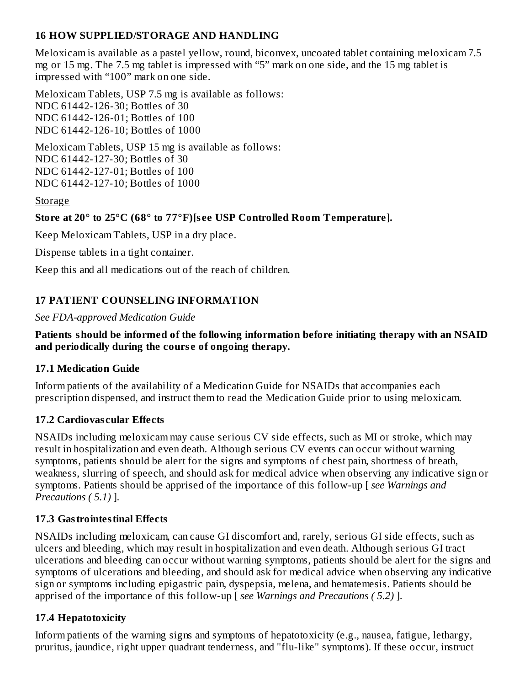#### **16 HOW SUPPLIED/STORAGE AND HANDLING**

Meloxicam is available as a pastel yellow, round, biconvex, uncoated tablet containing meloxicam 7.5 mg or 15 mg. The 7.5 mg tablet is impressed with "5" mark on one side, and the 15 mg tablet is impressed with "100" mark on one side.

Meloxicam Tablets, USP 7.5 mg is available as follows: NDC 61442-126-30; Bottles of 30 NDC 61442-126-01; Bottles of 100 NDC 61442-126-10; Bottles of 1000

Meloxicam Tablets, USP 15 mg is available as follows: NDC 61442-127-30; Bottles of 30 NDC 61442-127-01; Bottles of 100 NDC 61442-127-10; Bottles of 1000

#### Storage

#### **Store at 20° to 25°C (68° to 77°F)[s ee USP Controlled Room Temperature].**

Keep Meloxicam Tablets, USP in a dry place.

Dispense tablets in a tight container.

Keep this and all medications out of the reach of children.

#### **17 PATIENT COUNSELING INFORMATION**

*See FDA-approved Medication Guide*

#### **Patients should be informed of the following information before initiating therapy with an NSAID and periodically during the cours e of ongoing therapy.**

#### **17.1 Medication Guide**

Inform patients of the availability of a Medication Guide for NSAIDs that accompanies each prescription dispensed, and instruct them to read the Medication Guide prior to using meloxicam.

#### **17.2 Cardiovas cular Effects**

NSAIDs including meloxicam may cause serious CV side effects, such as MI or stroke, which may result in hospitalization and even death. Although serious CV events can occur without warning symptoms, patients should be alert for the signs and symptoms of chest pain, shortness of breath, weakness, slurring of speech, and should ask for medical advice when observing any indicative sign or symptoms. Patients should be apprised of the importance of this follow-up [ *see Warnings and Precautions ( 5.1)* ].

#### **17.3 Gastrointestinal Effects**

NSAIDs including meloxicam, can cause GI discomfort and, rarely, serious GI side effects, such as ulcers and bleeding, which may result in hospitalization and even death. Although serious GI tract ulcerations and bleeding can occur without warning symptoms, patients should be alert for the signs and symptoms of ulcerations and bleeding, and should ask for medical advice when observing any indicative sign or symptoms including epigastric pain, dyspepsia, melena, and hematemesis. Patients should be apprised of the importance of this follow-up [ *see Warnings and Precautions ( 5.2)* ].

#### **17.4 Hepatotoxicity**

Inform patients of the warning signs and symptoms of hepatotoxicity (e.g., nausea, fatigue, lethargy, pruritus, jaundice, right upper quadrant tenderness, and "flu-like" symptoms). If these occur, instruct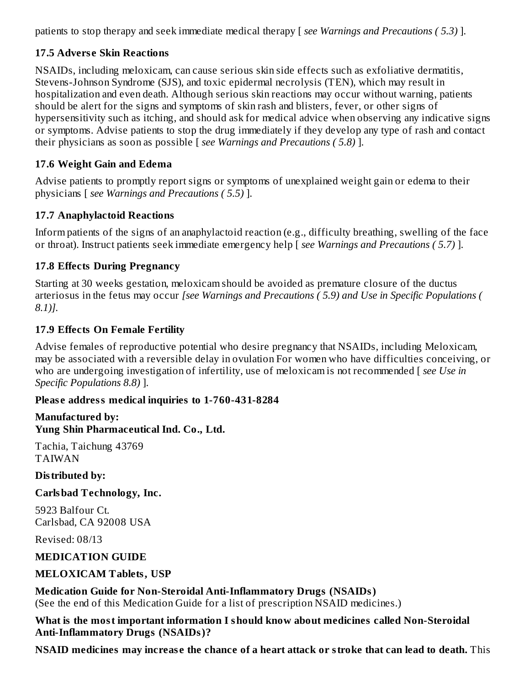patients to stop therapy and seek immediate medical therapy [ *see Warnings and Precautions ( 5.3)* ].

## **17.5 Advers e Skin Reactions**

NSAIDs, including meloxicam, can cause serious skin side effects such as exfoliative dermatitis, Stevens-Johnson Syndrome (SJS), and toxic epidermal necrolysis (TEN), which may result in hospitalization and even death. Although serious skin reactions may occur without warning, patients should be alert for the signs and symptoms of skin rash and blisters, fever, or other signs of hypersensitivity such as itching, and should ask for medical advice when observing any indicative signs or symptoms. Advise patients to stop the drug immediately if they develop any type of rash and contact their physicians as soon as possible [ *see Warnings and Precautions ( 5.8)* ].

# **17.6 Weight Gain and Edema**

Advise patients to promptly report signs or symptoms of unexplained weight gain or edema to their physicians [ *see Warnings and Precautions ( 5.5)* ].

# **17.7 Anaphylactoid Reactions**

Inform patients of the signs of an anaphylactoid reaction (e.g., difficulty breathing, swelling of the face or throat). Instruct patients seek immediate emergency help [ *see Warnings and Precautions ( 5.7)* ].

# **17.8 Effects During Pregnancy**

Starting at 30 weeks gestation, meloxicam should be avoided as premature closure of the ductus arteriosus in the fetus may occur *[see Warnings and Precautions ( 5.9) and Use in Specific Populations ( 8.1)].*

# **17.9 Effects On Female Fertility**

Advise females of reproductive potential who desire pregnancy that NSAIDs, including Meloxicam, may be associated with a reversible delay in ovulation For women who have difficulties conceiving, or who are undergoing investigation of infertility, use of meloxicam is not recommended [ *see Use in Specific Populations 8.8)* ].

# **Pleas e address medical inquiries to 1-760-431-8284**

#### **Manufactured by: Yung Shin Pharmaceutical Ind. Co., Ltd.**

Tachia, Taichung 43769 TAIWAN

# **Distributed by:**

# **Carlsbad Technology, Inc.**

5923 Balfour Ct. Carlsbad, CA 92008 USA

Revised: 08/13

# **MEDICATION GUIDE**

# **MELOXICAM Tablets, USP**

**Medication Guide for Non-Steroidal Anti-Inflammatory Drugs (NSAIDs)** (See the end of this Medication Guide for a list of prescription NSAID medicines.)

#### **What is the most important information I should know about medicines called Non-Steroidal Anti-Inflammatory Drugs (NSAIDs)?**

**NSAID medicines may increas e the chance of a heart attack or stroke that can lead to death.** This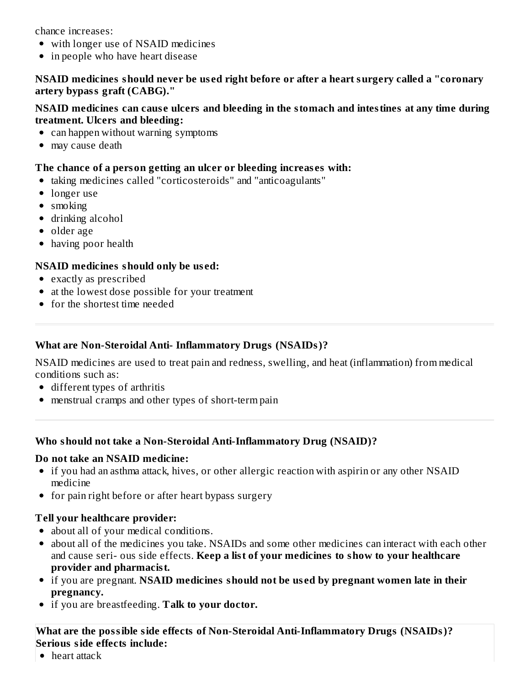chance increases:

- with longer use of NSAID medicines
- in people who have heart disease

#### **NSAID medicines should never be us ed right before or after a heart surgery called a "coronary artery bypass graft (CABG)."**

#### **NSAID medicines can caus e ulcers and bleeding in the stomach and intestines at any time during treatment. Ulcers and bleeding:**

- can happen without warning symptoms
- may cause death

#### **The chance of a person getting an ulcer or bleeding increas es with:**

- taking medicines called "corticosteroids" and "anticoagulants"
- longer use
- smoking
- drinking alcohol
- older age
- having poor health

#### **NSAID medicines should only be us ed:**

- exactly as prescribed
- at the lowest dose possible for your treatment
- for the shortest time needed

#### **What are Non-Steroidal Anti- Inflammatory Drugs (NSAIDs)?**

NSAID medicines are used to treat pain and redness, swelling, and heat (inflammation) from medical conditions such as:

- different types of arthritis
- menstrual cramps and other types of short-term pain

#### **Who should not take a Non-Steroidal Anti-Inflammatory Drug (NSAID)?**

#### **Do not take an NSAID medicine:**

- if you had an asthma attack, hives, or other allergic reaction with aspirin or any other NSAID medicine
- for pain right before or after heart bypass surgery

#### **Tell your healthcare provider:**

- about all of your medical conditions.
- about all of the medicines you take. NSAIDs and some other medicines can interact with each other and cause seri- ous side effects. **Keep a list of your medicines to show to your healthcare provider and pharmacist.**
- if you are pregnant. **NSAID medicines should not be us ed by pregnant women late in their pregnancy.**
- if you are breastfeeding. **Talk to your doctor.**

#### **What are the possible side effects of Non-Steroidal Anti-Inflammatory Drugs (NSAIDs)? Serious side effects include:**

• heart attack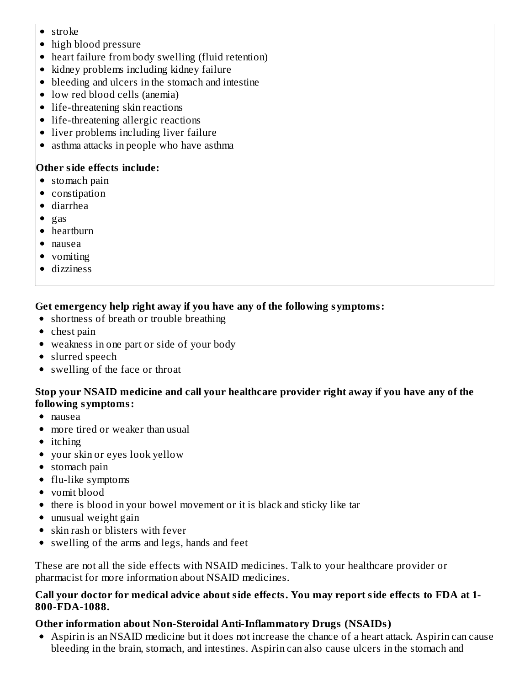- stroke
- high blood pressure
- heart failure from body swelling (fluid retention)
- kidney problems including kidney failure
- bleeding and ulcers in the stomach and intestine
- low red blood cells (anemia)
- life-threatening skin reactions
- life-threatening allergic reactions
- liver problems including liver failure
- asthma attacks in people who have asthma

# **Other side effects include:**

- stomach pain
- constipation
- diarrhea
- $\bullet$  gas
- heartburn
- nausea
- vomiting
- dizziness

# **Get emergency help right away if you have any of the following symptoms:**

- shortness of breath or trouble breathing
- chest pain
- weakness in one part or side of your body
- slurred speech
- swelling of the face or throat

#### **Stop your NSAID medicine and call your healthcare provider right away if you have any of the following symptoms:**

- nausea
- more tired or weaker than usual
- itching
- your skin or eyes look yellow
- stomach pain
- flu-like symptoms
- vomit blood
- there is blood in your bowel movement or it is black and sticky like tar
- unusual weight gain
- skin rash or blisters with fever
- swelling of the arms and legs, hands and feet

These are not all the side effects with NSAID medicines. Talk to your healthcare provider or pharmacist for more information about NSAID medicines.

#### **Call your doctor for medical advice about side effects. You may report side effects to FDA at 1- 800-FDA-1088.**

# **Other information about Non-Steroidal Anti-Inflammatory Drugs (NSAIDs)**

Aspirin is an NSAID medicine but it does not increase the chance of a heart attack. Aspirin can cause bleeding in the brain, stomach, and intestines. Aspirin can also cause ulcers in the stomach and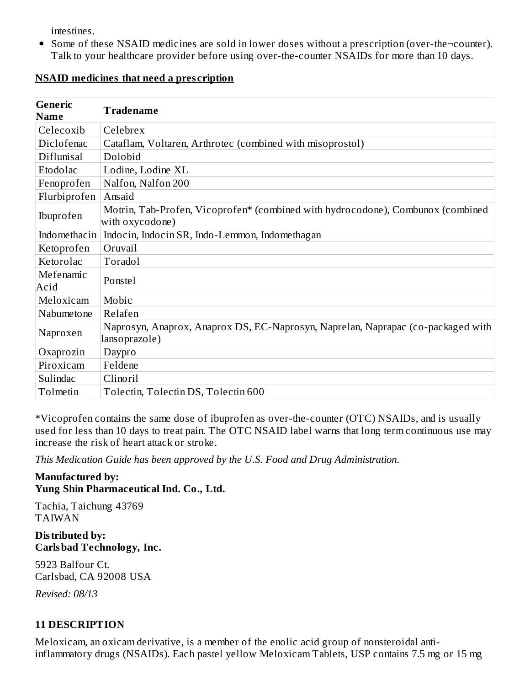intestines.

Some of these NSAID medicines are sold in lower doses without a prescription (over-the¬counter). Talk to your healthcare provider before using over-the-counter NSAIDs for more than 10 days.

#### **NSAID medicines that need a pres cription**

| Generic<br><b>Name</b> | Tradename                                                                                          |
|------------------------|----------------------------------------------------------------------------------------------------|
| Celecoxib              | Celebrex                                                                                           |
| Diclofenac             | Cataflam, Voltaren, Arthrotec (combined with misoprostol)                                          |
| Diflunisal             | Dolobid                                                                                            |
| Etodolac               | Lodine, Lodine XL                                                                                  |
| Fenoprofen             | Nalfon, Nalfon 200                                                                                 |
| Flurbiprofen           | Ansaid                                                                                             |
| Ibuprofen              | Motrin, Tab-Profen, Vicoprofen* (combined with hydrocodone), Combunox (combined<br>with oxycodone) |
| Indomethacin           | Indocin, Indocin SR, Indo-Lemmon, Indomethagan                                                     |
| Ketoprofen             | Oruvail                                                                                            |
| Ketorolac              | Toradol                                                                                            |
| Mefenamic<br>Acid      | Ponstel                                                                                            |
| Meloxicam              | Mobic                                                                                              |
| Nabumetone             | Relafen                                                                                            |
| Naproxen               | Naprosyn, Anaprox, Anaprox DS, EC-Naprosyn, Naprelan, Naprapac (co-packaged with<br>lansoprazole)  |
| Oxaprozin              | Daypro                                                                                             |
| Piroxicam              | Feldene                                                                                            |
| Sulindac               | Clinoril                                                                                           |
| Tolmetin               | Tolectin, Tolectin DS, Tolectin 600                                                                |

\*Vicoprofen contains the same dose of ibuprofen as over-the-counter (OTC) NSAIDs, and is usually used for less than 10 days to treat pain. The OTC NSAID label warns that long term continuous use may increase the risk of heart attack or stroke.

*This Medication Guide has been approved by the U.S. Food and Drug Administration.*

#### **Manufactured by: Yung Shin Pharmaceutical Ind. Co., Ltd.**

Tachia, Taichung 43769 TAIWAN

**Distributed by: Carlsbad Technology, Inc.**

5923 Balfour Ct. Carlsbad, CA 92008 USA

*Revised: 08/13*

#### **11 DESCRIPTION**

Meloxicam, an oxicam derivative, is a member of the enolic acid group of nonsteroidal antiinflammatory drugs (NSAIDs). Each pastel yellow Meloxicam Tablets, USP contains 7.5 mg or 15 mg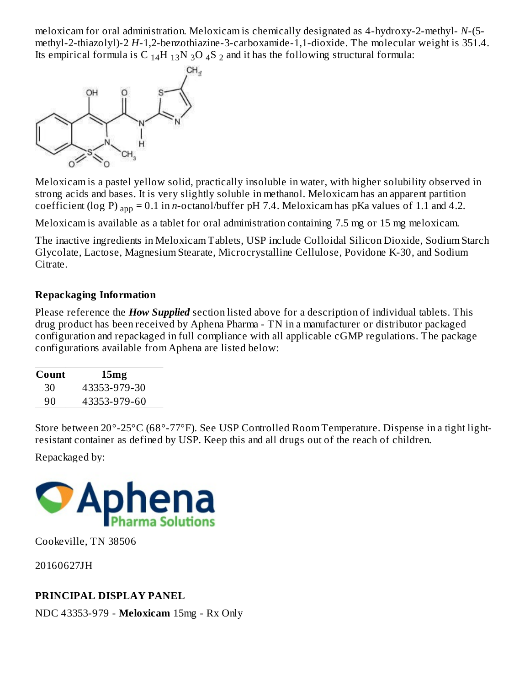meloxicam for oral administration. Meloxicam is chemically designated as 4-hydroxy-2-methyl- *N*-(5 methyl-2-thiazolyl)-2 *H*-1,2-benzothiazine-3-carboxamide-1,1-dioxide. The molecular weight is 351.4. Its empirical formula is C  $_{14}$ H  $_{13}$ N  $_{3}$ O  $_{4}$ S  $_{2}$  and it has the following structural formula:



Meloxicam is a pastel yellow solid, practically insoluble in water, with higher solubility observed in strong acids and bases. It is very slightly soluble in methanol. Meloxicam has an apparent partition coefficient (log P)  $_{app}$  = 0.1 in *n*-octanol/buffer pH 7.4. Meloxicam has pKa values of 1.1 and 4.2.

Meloxicam is available as a tablet for oral administration containing 7.5 mg or 15 mg meloxicam.

The inactive ingredients in Meloxicam Tablets, USP include Colloidal Silicon Dioxide, Sodium Starch Glycolate, Lactose, Magnesium Stearate, Microcrystalline Cellulose, Povidone K-30, and Sodium Citrate.

#### **Repackaging Information**

Please reference the *How Supplied* section listed above for a description of individual tablets. This drug product has been received by Aphena Pharma - TN in a manufacturer or distributor packaged configuration and repackaged in full compliance with all applicable cGMP regulations. The package configurations available from Aphena are listed below:

| Count | 15mg         |
|-------|--------------|
| 30    | 43353-979-30 |
| 90    | 43353-979-60 |

Store between 20°-25°C (68°-77°F). See USP Controlled Room Temperature. Dispense in a tight lightresistant container as defined by USP. Keep this and all drugs out of the reach of children.

Repackaged by:



Cookeville, TN 38506

20160627JH

#### **PRINCIPAL DISPLAY PANEL**

NDC 43353-979 - **Meloxicam** 15mg - Rx Only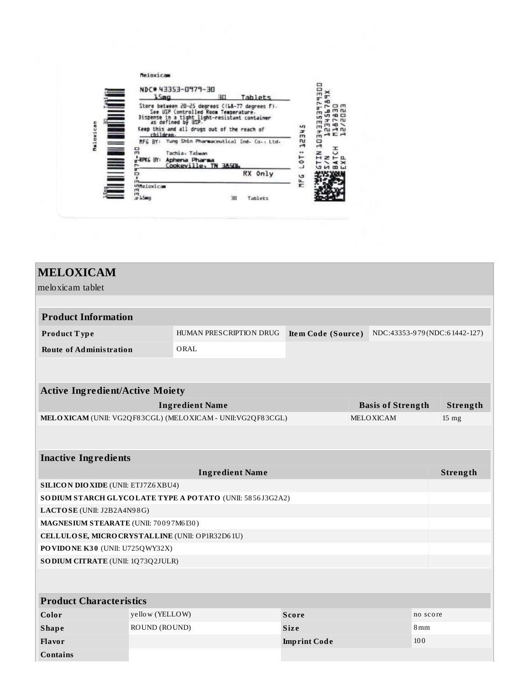|           |               | Meloxicam<br>NDC#43353-0979-30                                                                                                                                                                                                                                                                                                                                          |                      |           |
|-----------|---------------|-------------------------------------------------------------------------------------------------------------------------------------------------------------------------------------------------------------------------------------------------------------------------------------------------------------------------------------------------------------------------|----------------------|-----------|
| Meloxican | İ<br>$\equiv$ | 1.Smg<br>Tablets<br>٦п<br>Store between 20-25 degrees ((L&-77 degrees F).<br>See USP (ontrolled Room Temperature.<br>Dispense in a tight light-resistant container<br>as defined by USP.<br>Keep this and all drugs out of the reach of<br>children.<br>Yung Shin Pharmaceutical Ind. Co., Ltd.<br>MFG BY:<br>▫<br>m<br>Tachia- Taiwan<br>$RPK6$ $BY:$<br>Aphena Pharma | m<br>ru<br>ᆆ<br>.011 | m ni<br>Ë |
|           | i<br>Elimi    | Cookeville, TN 38506<br>RX Only<br><b>UNNeloxican</b><br>30<br>Tablets                                                                                                                                                                                                                                                                                                  | ت                    |           |

| <b>MELOXICAM</b><br>meloxicam tablet                          |                         |                     |                                                    |                 |
|---------------------------------------------------------------|-------------------------|---------------------|----------------------------------------------------|-----------------|
|                                                               |                         |                     |                                                    |                 |
| <b>Product Information</b>                                    |                         |                     |                                                    |                 |
| Product Type                                                  | HUMAN PRESCRIPTION DRUG |                     | Item Code (Source)<br>NDC:43353-979(NDC:61442-127) |                 |
| <b>Route of Administration</b>                                | ORAL                    |                     |                                                    |                 |
|                                                               |                         |                     |                                                    |                 |
|                                                               |                         |                     |                                                    |                 |
| <b>Active Ingredient/Active Moiety</b>                        |                         |                     |                                                    |                 |
|                                                               | <b>Ingredient Name</b>  |                     | <b>Basis of Strength</b>                           | Strength        |
| MELO XICAM (UNII: VG2QF83CGL) (MELO XICAM - UNII: VG2QF83CGL) |                         |                     | MELOXICAM                                          | $15 \text{ mg}$ |
|                                                               |                         |                     |                                                    |                 |
| <b>Inactive Ingredients</b>                                   |                         |                     |                                                    |                 |
|                                                               | <b>Ingredient Name</b>  |                     |                                                    | Strength        |
| <b>SILICON DIO XIDE (UNII: ETJ7Z6 XBU4)</b>                   |                         |                     |                                                    |                 |
| SO DIUM STARCH GLYCOLATE TYPE A POTATO (UNII: 5856J3G2A2)     |                         |                     |                                                    |                 |
| LACTOSE (UNII: J2B2A4N98G)                                    |                         |                     |                                                    |                 |
| MAGNESIUM STEARATE (UNII: 70097M6I30)                         |                         |                     |                                                    |                 |
| CELLULOSE, MICRO CRYSTALLINE (UNII: OP1R32D61U)               |                         |                     |                                                    |                 |
| PO VIDO NE K30 (UNII: U725QWY32X)                             |                         |                     |                                                    |                 |
| SODIUM CITRATE (UNII: 1Q73Q2JULR)                             |                         |                     |                                                    |                 |
|                                                               |                         |                     |                                                    |                 |
| <b>Product Characteristics</b>                                |                         |                     |                                                    |                 |
| Color                                                         | yellow (YELLOW)         | <b>Score</b>        | no score                                           |                 |
| <b>Shape</b>                                                  | ROUND (ROUND)           | <b>Size</b>         | 8mm                                                |                 |
| Flavor                                                        |                         | <b>Imprint Code</b> | 100                                                |                 |
| <b>Contains</b>                                               |                         |                     |                                                    |                 |